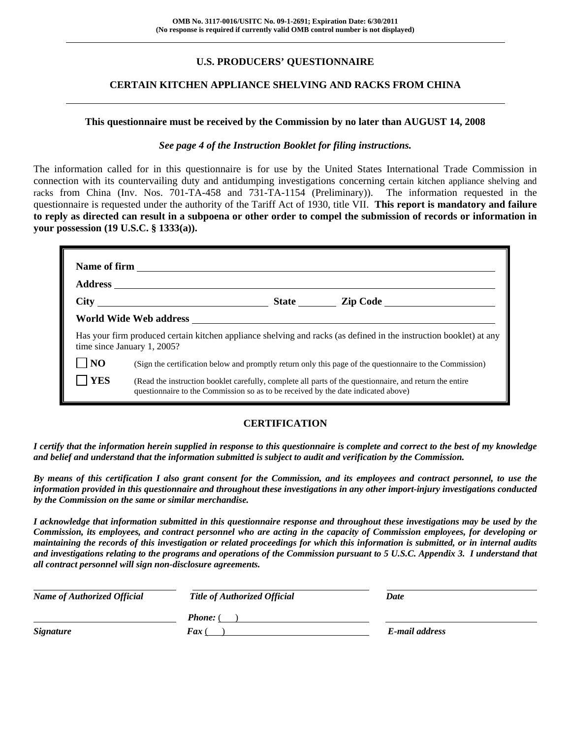## **U.S. PRODUCERS' QUESTIONNAIRE**

## **CERTAIN KITCHEN APPLIANCE SHELVING AND RACKS FROM CHINA**

#### **This questionnaire must be received by the Commission by no later than AUGUST 14, 2008**

#### *See page 4 of the Instruction Booklet for filing instructions.*

The information called for in this questionnaire is for use by the United States International Trade Commission in connection with its countervailing duty and antidumping investigations concerning certain kitchen appliance shelving and racks from China (Inv. Nos. 701-TA-458 and 731-TA-1154 (Preliminary)). The information requested in the questionnaire is requested under the authority of the Tariff Act of 1930, title VII. **This report is mandatory and failure to reply as directed can result in a subpoena or other order to compel the submission of records or information in your possession (19 U.S.C. § 1333(a)).** 

|                | Has your firm produced certain kitchen appliance shelving and racks (as defined in the instruction booklet) at any<br>time since January 1, 2005?                                            |  |
|----------------|----------------------------------------------------------------------------------------------------------------------------------------------------------------------------------------------|--|
| N <sub>O</sub> | (Sign the certification below and promptly return only this page of the questionnaire to the Commission)                                                                                     |  |
| <b>YES</b>     | (Read the instruction booklet carefully, complete all parts of the questionnaire, and return the entire<br>questionnaire to the Commission so as to be received by the date indicated above) |  |

## **CERTIFICATION**

*I certify that the information herein supplied in response to this questionnaire is complete and correct to the best of my knowledge and belief and understand that the information submitted is subject to audit and verification by the Commission.* 

*By means of this certification I also grant consent for the Commission, and its employees and contract personnel, to use the information provided in this questionnaire and throughout these investigations in any other import-injury investigations conducted by the Commission on the same or similar merchandise.* 

*I acknowledge that information submitted in this questionnaire response and throughout these investigations may be used by the Commission, its employees, and contract personnel who are acting in the capacity of Commission employees, for developing or maintaining the records of this investigation or related proceedings for which this information is submitted, or in internal audits and investigations relating to the programs and operations of the Commission pursuant to 5 U.S.C. Appendix 3. I understand that all contract personnel will sign non-disclosure agreements.* 

| <b>Name of Authorized Official</b> | <b>Title of Authorized Official</b> | Date           |  |
|------------------------------------|-------------------------------------|----------------|--|
|                                    | <b>Phone:</b> (                     |                |  |
| <b>Signature</b>                   | <b>Fax</b> (                        | E-mail address |  |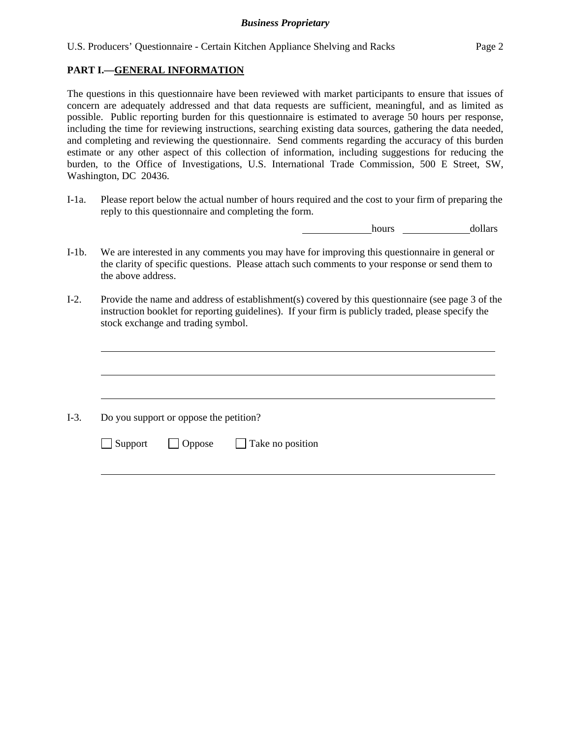## **PART I.—GENERAL INFORMATION**

 $\overline{a}$ 

 $\overline{a}$ 

l

The questions in this questionnaire have been reviewed with market participants to ensure that issues of concern are adequately addressed and that data requests are sufficient, meaningful, and as limited as possible. Public reporting burden for this questionnaire is estimated to average 50 hours per response, including the time for reviewing instructions, searching existing data sources, gathering the data needed, and completing and reviewing the questionnaire. Send comments regarding the accuracy of this burden estimate or any other aspect of this collection of information, including suggestions for reducing the burden, to the Office of Investigations, U.S. International Trade Commission, 500 E Street, SW, Washington, DC 20436.

I-1a. Please report below the actual number of hours required and the cost to your firm of preparing the reply to this questionnaire and completing the form.

**hours** <u>hours</u> dollars

- I-1b. We are interested in any comments you may have for improving this questionnaire in general or the clarity of specific questions. Please attach such comments to your response or send them to the above address.
- I-2. Provide the name and address of establishment(s) covered by this questionnaire (see page 3 of the instruction booklet for reporting guidelines). If your firm is publicly traded, please specify the stock exchange and trading symbol.

 $\overline{a}$ I-3. Do you support or oppose the petition?  $\Box$  Support  $\Box$  Oppose  $\Box$  Take no position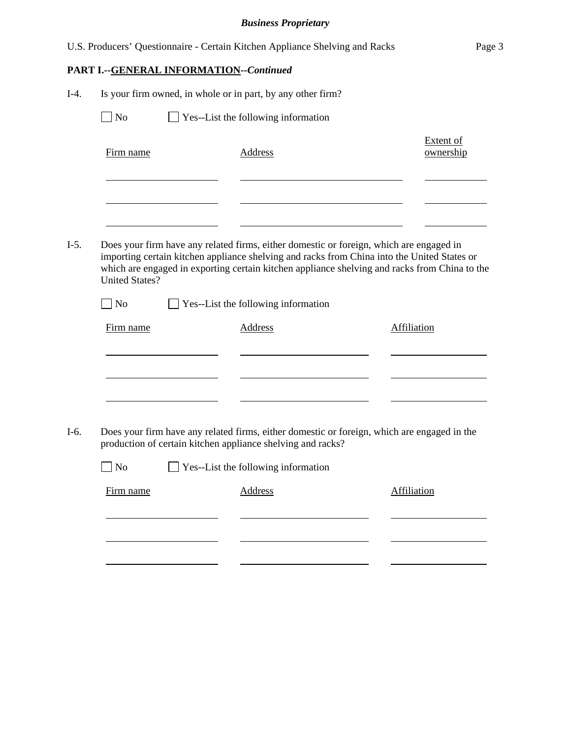|        |                       |                                         | U.S. Producers' Questionnaire - Certain Kitchen Appliance Shelving and Racks                                                                                                                                                                                                            | Page 3                        |
|--------|-----------------------|-----------------------------------------|-----------------------------------------------------------------------------------------------------------------------------------------------------------------------------------------------------------------------------------------------------------------------------------------|-------------------------------|
|        |                       | PART I.--GENERAL INFORMATION--Continued |                                                                                                                                                                                                                                                                                         |                               |
| $I-4.$ |                       |                                         | Is your firm owned, in whole or in part, by any other firm?                                                                                                                                                                                                                             |                               |
|        | $\Box$ No             |                                         | $\Box$ Yes--List the following information                                                                                                                                                                                                                                              |                               |
|        | Firm name             |                                         | <b>Address</b>                                                                                                                                                                                                                                                                          | <b>Extent of</b><br>ownership |
|        |                       |                                         |                                                                                                                                                                                                                                                                                         |                               |
| $I-5.$ | <b>United States?</b> |                                         | Does your firm have any related firms, either domestic or foreign, which are engaged in<br>importing certain kitchen appliance shelving and racks from China into the United States or<br>which are engaged in exporting certain kitchen appliance shelving and racks from China to the |                               |
|        | $\Box$ No             |                                         | $\Box$ Yes--List the following information                                                                                                                                                                                                                                              |                               |
|        | Firm name             |                                         | <b>Address</b>                                                                                                                                                                                                                                                                          | <b>Affiliation</b>            |
| $I-6.$ |                       |                                         | Does your firm have any related firms, either domestic or foreign, which are engaged in the<br>production of certain kitchen appliance shelving and racks?                                                                                                                              |                               |
|        | $\log$                |                                         | Yes--List the following information                                                                                                                                                                                                                                                     |                               |
|        | Firm name             |                                         | <b>Address</b>                                                                                                                                                                                                                                                                          | <b>Affiliation</b>            |
|        |                       |                                         |                                                                                                                                                                                                                                                                                         |                               |
|        |                       |                                         |                                                                                                                                                                                                                                                                                         |                               |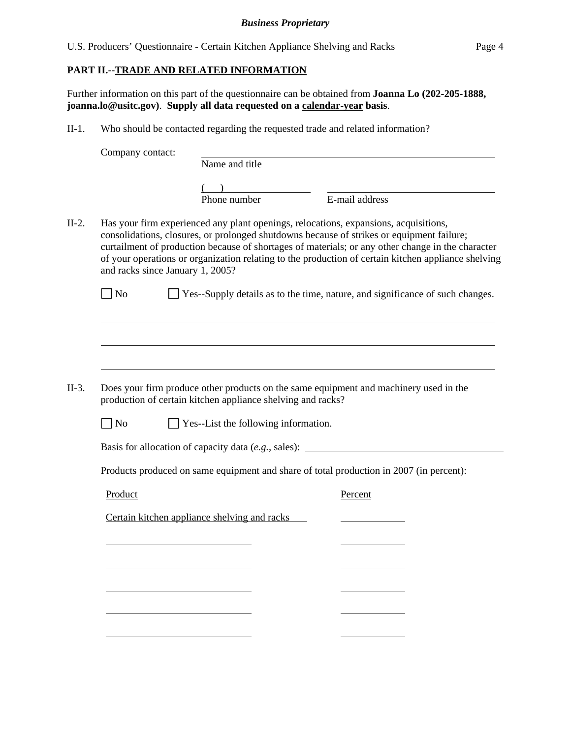## **PART II.--TRADE AND RELATED INFORMATION**

Further information on this part of the questionnaire can be obtained from **Joanna Lo (202-205-1888, joanna.lo@usitc.gov)**. **Supply all data requested on a calendar-year basis**.

II-1. Who should be contacted regarding the requested trade and related information?

Company contact: Name and title  $\frac{1}{2}$ Phone number E-mail address II-2. Has your firm experienced any plant openings, relocations, expansions, acquisitions, consolidations, closures, or prolonged shutdowns because of strikes or equipment failure; curtailment of production because of shortages of materials; or any other change in the character of your operations or organization relating to the production of certain kitchen appliance shelving and racks since January 1, 2005?  $\Box$  No  $\Box$  Yes--Supply details as to the time, nature, and significance of such changes.  $\overline{a}$  $\overline{a}$  $\overline{a}$ II-3. Does your firm produce other products on the same equipment and machinery used in the production of certain kitchen appliance shelving and racks?  $\Box$  No  $\Box$  Yes--List the following information. Basis for allocation of capacity data (*e.g.*, sales): Products produced on same equipment and share of total production in 2007 (in percent): Product Percent Certain kitchen appliance shelving and racks l l l l l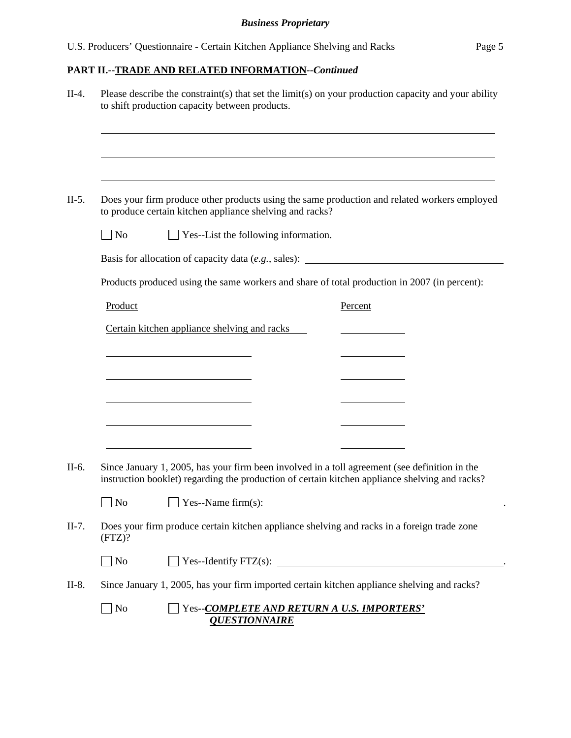|                | Please describe the constraint(s) that set the limit(s) on your production capacity and your ability<br>to shift production capacity between products.                                          |                                            |  |
|----------------|-------------------------------------------------------------------------------------------------------------------------------------------------------------------------------------------------|--------------------------------------------|--|
|                |                                                                                                                                                                                                 |                                            |  |
|                | Does your firm produce other products using the same production and related workers employed<br>to produce certain kitchen appliance shelving and racks?                                        |                                            |  |
| $\Box$ No      | $\Box$ Yes--List the following information.                                                                                                                                                     |                                            |  |
|                | Basis for allocation of capacity data (e.g., sales): ____________________________                                                                                                               |                                            |  |
|                | Products produced using the same workers and share of total production in 2007 (in percent):                                                                                                    |                                            |  |
| Product        |                                                                                                                                                                                                 | Percent                                    |  |
|                | Certain kitchen appliance shelving and racks                                                                                                                                                    |                                            |  |
|                |                                                                                                                                                                                                 |                                            |  |
|                |                                                                                                                                                                                                 |                                            |  |
|                |                                                                                                                                                                                                 |                                            |  |
|                | <u> 1989 - Johann Barn, mars ann an t-Amhain an t-Amhain an t-Amhain an t-Amhain an t-Amhain an t-Amhain an t-Amh</u>                                                                           |                                            |  |
|                |                                                                                                                                                                                                 |                                            |  |
|                | <u> 1989 - Johann Barn, mars an t-Amerikaansk politiker (</u>                                                                                                                                   |                                            |  |
|                |                                                                                                                                                                                                 |                                            |  |
|                | Since January 1, 2005, has your firm been involved in a toll agreement (see definition in the<br>instruction booklet) regarding the production of certain kitchen appliance shelving and racks? |                                            |  |
| N <sub>o</sub> | $\Box$ Yes--Name firm(s):                                                                                                                                                                       |                                            |  |
| (FTZ)?         | Does your firm produce certain kitchen appliance shelving and racks in a foreign trade zone                                                                                                     |                                            |  |
| $\Box$ No      |                                                                                                                                                                                                 | $\text{Yes--Identity FTZ(s):}$             |  |
|                | Since January 1, 2005, has your firm imported certain kitchen appliance shelving and racks?                                                                                                     |                                            |  |
| $\Box$ No      | <b>QUESTIONNAIRE</b>                                                                                                                                                                            | Yes--COMPLETE AND RETURN A U.S. IMPORTERS' |  |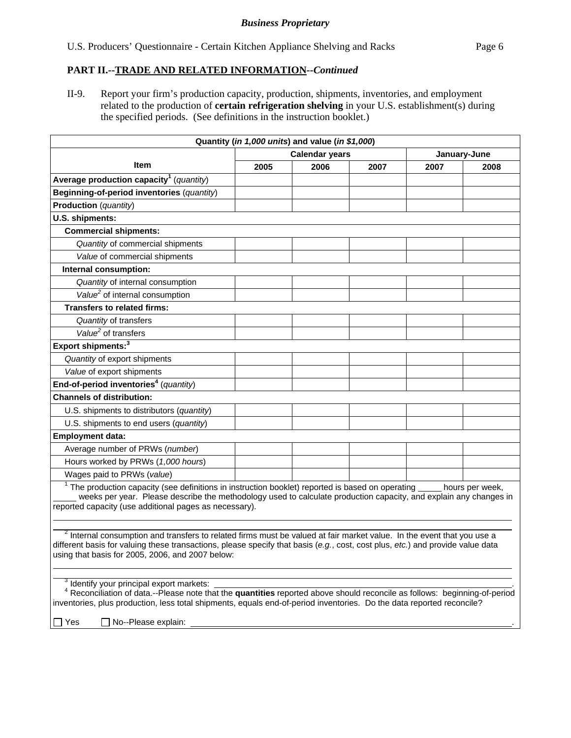II-9. Report your firm's production capacity, production, shipments, inventories, and employment related to the production of **certain refrigeration shelving** in your U.S. establishment(s) during the specified periods. (See definitions in the instruction booklet.)

|                                                                                                                                                                                                                                                                                                                                                             |      | Quantity (in 1,000 units) and value (in \$1,000) |      |      |                 |
|-------------------------------------------------------------------------------------------------------------------------------------------------------------------------------------------------------------------------------------------------------------------------------------------------------------------------------------------------------------|------|--------------------------------------------------|------|------|-----------------|
|                                                                                                                                                                                                                                                                                                                                                             |      | <b>Calendar years</b>                            |      |      | January-June    |
| Item                                                                                                                                                                                                                                                                                                                                                        | 2005 | 2006                                             | 2007 | 2007 | 2008            |
| Average production capacity <sup>1</sup> (quantity)                                                                                                                                                                                                                                                                                                         |      |                                                  |      |      |                 |
| Beginning-of-period inventories (quantity)                                                                                                                                                                                                                                                                                                                  |      |                                                  |      |      |                 |
| <b>Production</b> (quantity)                                                                                                                                                                                                                                                                                                                                |      |                                                  |      |      |                 |
| U.S. shipments:                                                                                                                                                                                                                                                                                                                                             |      |                                                  |      |      |                 |
| <b>Commercial shipments:</b>                                                                                                                                                                                                                                                                                                                                |      |                                                  |      |      |                 |
| Quantity of commercial shipments                                                                                                                                                                                                                                                                                                                            |      |                                                  |      |      |                 |
| Value of commercial shipments                                                                                                                                                                                                                                                                                                                               |      |                                                  |      |      |                 |
| Internal consumption:                                                                                                                                                                                                                                                                                                                                       |      |                                                  |      |      |                 |
| Quantity of internal consumption                                                                                                                                                                                                                                                                                                                            |      |                                                  |      |      |                 |
| Value <sup>2</sup> of internal consumption                                                                                                                                                                                                                                                                                                                  |      |                                                  |      |      |                 |
| <b>Transfers to related firms:</b>                                                                                                                                                                                                                                                                                                                          |      |                                                  |      |      |                 |
| Quantity of transfers                                                                                                                                                                                                                                                                                                                                       |      |                                                  |      |      |                 |
| Value <sup>2</sup> of transfers                                                                                                                                                                                                                                                                                                                             |      |                                                  |      |      |                 |
| Export shipments: <sup>3</sup>                                                                                                                                                                                                                                                                                                                              |      |                                                  |      |      |                 |
| Quantity of export shipments                                                                                                                                                                                                                                                                                                                                |      |                                                  |      |      |                 |
| Value of export shipments                                                                                                                                                                                                                                                                                                                                   |      |                                                  |      |      |                 |
| End-of-period inventories <sup>4</sup> (quantity)                                                                                                                                                                                                                                                                                                           |      |                                                  |      |      |                 |
| <b>Channels of distribution:</b>                                                                                                                                                                                                                                                                                                                            |      |                                                  |      |      |                 |
| U.S. shipments to distributors (quantity)                                                                                                                                                                                                                                                                                                                   |      |                                                  |      |      |                 |
| U.S. shipments to end users (quantity)                                                                                                                                                                                                                                                                                                                      |      |                                                  |      |      |                 |
| <b>Employment data:</b>                                                                                                                                                                                                                                                                                                                                     |      |                                                  |      |      |                 |
| Average number of PRWs (number)                                                                                                                                                                                                                                                                                                                             |      |                                                  |      |      |                 |
| Hours worked by PRWs (1,000 hours)                                                                                                                                                                                                                                                                                                                          |      |                                                  |      |      |                 |
| Wages paid to PRWs (value)                                                                                                                                                                                                                                                                                                                                  |      |                                                  |      |      |                 |
| $1$ The production capacity (see definitions in instruction booklet) reported is based on operating<br>weeks per year. Please describe the methodology used to calculate production capacity, and explain any changes in<br>reported capacity (use additional pages as necessary).                                                                          |      |                                                  |      |      | hours per week, |
| <sup>2</sup> Internal consumption and transfers to related firms must be valued at fair market value. In the event that you use a<br>different basis for valuing these transactions, please specify that basis (e.g., cost, cost plus, etc.) and provide value data<br>using that basis for 2005, 2006, and 2007 below:                                     |      |                                                  |      |      |                 |
| <sup>3</sup> Identify your principal export markets:<br><sup>4</sup> Reconciliation of data.--Please note that the <b>quantities</b> reported above should reconcile as follows: beginning-of-period<br>inventories, plus production, less total shipments, equals end-of-period inventories. Do the data reported reconcile?<br>No--Please explain:<br>Yes |      |                                                  |      |      |                 |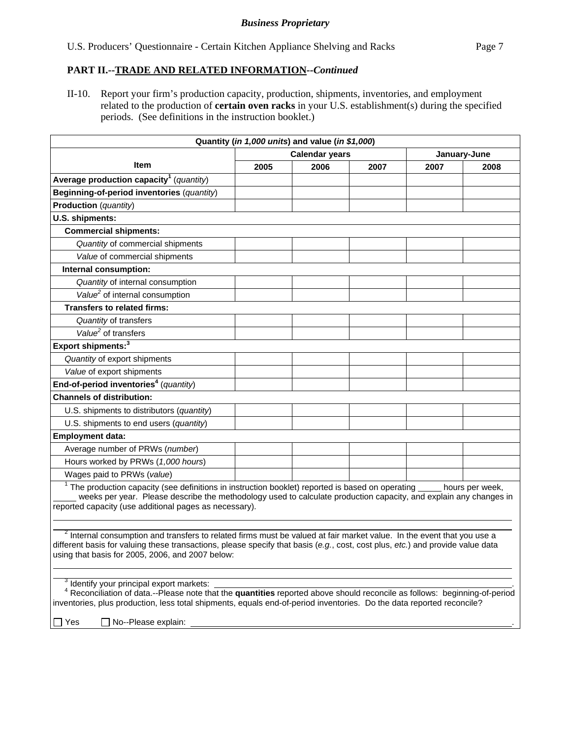II-10. Report your firm's production capacity, production, shipments, inventories, and employment related to the production of **certain oven racks** in your U.S. establishment(s) during the specified periods. (See definitions in the instruction booklet.)

|                                                                                                                                                                                                                                                                                                                         |      | Quantity (in 1,000 units) and value (in \$1,000) |      |      |                 |
|-------------------------------------------------------------------------------------------------------------------------------------------------------------------------------------------------------------------------------------------------------------------------------------------------------------------------|------|--------------------------------------------------|------|------|-----------------|
|                                                                                                                                                                                                                                                                                                                         |      | <b>Calendar years</b>                            |      |      | January-June    |
| Item                                                                                                                                                                                                                                                                                                                    | 2005 | 2006                                             | 2007 | 2007 | 2008            |
| Average production capacity <sup>1</sup> (quantity)                                                                                                                                                                                                                                                                     |      |                                                  |      |      |                 |
| Beginning-of-period inventories (quantity)                                                                                                                                                                                                                                                                              |      |                                                  |      |      |                 |
| Production (quantity)                                                                                                                                                                                                                                                                                                   |      |                                                  |      |      |                 |
| U.S. shipments:                                                                                                                                                                                                                                                                                                         |      |                                                  |      |      |                 |
| <b>Commercial shipments:</b>                                                                                                                                                                                                                                                                                            |      |                                                  |      |      |                 |
| Quantity of commercial shipments                                                                                                                                                                                                                                                                                        |      |                                                  |      |      |                 |
| Value of commercial shipments                                                                                                                                                                                                                                                                                           |      |                                                  |      |      |                 |
| Internal consumption:                                                                                                                                                                                                                                                                                                   |      |                                                  |      |      |                 |
| Quantity of internal consumption                                                                                                                                                                                                                                                                                        |      |                                                  |      |      |                 |
| Value <sup>2</sup> of internal consumption                                                                                                                                                                                                                                                                              |      |                                                  |      |      |                 |
| <b>Transfers to related firms:</b>                                                                                                                                                                                                                                                                                      |      |                                                  |      |      |                 |
| Quantity of transfers                                                                                                                                                                                                                                                                                                   |      |                                                  |      |      |                 |
| Value <sup>2</sup> of transfers                                                                                                                                                                                                                                                                                         |      |                                                  |      |      |                 |
| Export shipments: <sup>3</sup>                                                                                                                                                                                                                                                                                          |      |                                                  |      |      |                 |
| Quantity of export shipments                                                                                                                                                                                                                                                                                            |      |                                                  |      |      |                 |
| Value of export shipments                                                                                                                                                                                                                                                                                               |      |                                                  |      |      |                 |
| End-of-period inventories <sup>4</sup> (quantity)                                                                                                                                                                                                                                                                       |      |                                                  |      |      |                 |
| <b>Channels of distribution:</b>                                                                                                                                                                                                                                                                                        |      |                                                  |      |      |                 |
| U.S. shipments to distributors (quantity)                                                                                                                                                                                                                                                                               |      |                                                  |      |      |                 |
| U.S. shipments to end users (quantity)                                                                                                                                                                                                                                                                                  |      |                                                  |      |      |                 |
| <b>Employment data:</b>                                                                                                                                                                                                                                                                                                 |      |                                                  |      |      |                 |
| Average number of PRWs (number)                                                                                                                                                                                                                                                                                         |      |                                                  |      |      |                 |
| Hours worked by PRWs (1,000 hours)                                                                                                                                                                                                                                                                                      |      |                                                  |      |      |                 |
| Wages paid to PRWs (value)                                                                                                                                                                                                                                                                                              |      |                                                  |      |      |                 |
| $1$ The production capacity (see definitions in instruction booklet) reported is based on operating $\frac{1}{2}$<br>weeks per year. Please describe the methodology used to calculate production capacity, and explain any changes in<br>reported capacity (use additional pages as necessary).                        |      |                                                  |      |      | hours per week, |
| <sup>2</sup> Internal consumption and transfers to related firms must be valued at fair market value. In the event that you use a<br>different basis for valuing these transactions, please specify that basis (e.g., cost, cost plus, etc.) and provide value data<br>using that basis for 2005, 2006, and 2007 below: |      |                                                  |      |      |                 |
| <sup>3</sup> Identify your principal export markets:<br><sup>4</sup> Reconciliation of data.--Please note that the quantities reported above should reconcile as follows: beginning-of-period<br>inventories, plus production, less total shipments, equals end-of-period inventories. Do the data reported reconcile?  |      |                                                  |      |      |                 |

 $\Box$  Yes  $\Box$  No--Please explain: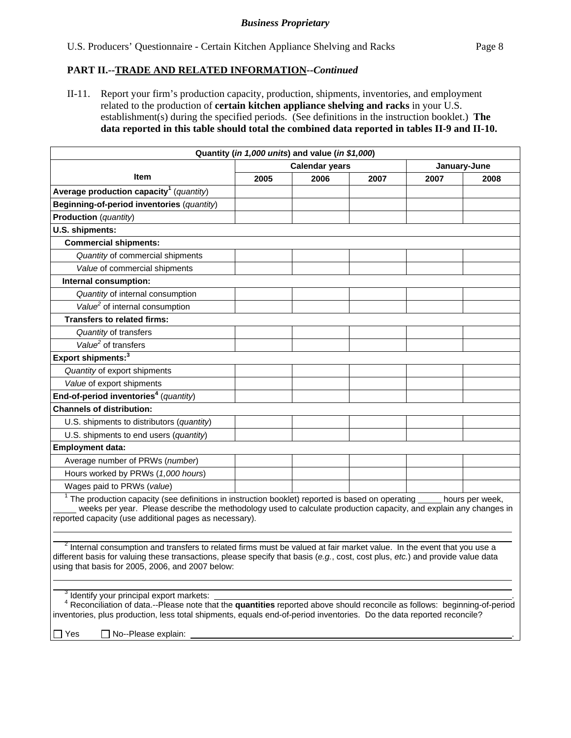II-11. Report your firm's production capacity, production, shipments, inventories, and employment related to the production of **certain kitchen appliance shelving and racks** in your U.S. establishment(s) during the specified periods. (See definitions in the instruction booklet.) **The data reported in this table should total the combined data reported in tables II-9 and II-10.** 

|                                                                                                                                                                                                                                                                                                    |      | Quantity (in 1,000 units) and value (in \$1,000) |      |      |              |
|----------------------------------------------------------------------------------------------------------------------------------------------------------------------------------------------------------------------------------------------------------------------------------------------------|------|--------------------------------------------------|------|------|--------------|
|                                                                                                                                                                                                                                                                                                    |      | <b>Calendar years</b>                            |      |      | January-June |
| <b>Item</b>                                                                                                                                                                                                                                                                                        | 2005 | 2006                                             | 2007 | 2007 | 2008         |
| Average production capacity <sup>1</sup> (quantity)                                                                                                                                                                                                                                                |      |                                                  |      |      |              |
| Beginning-of-period inventories (quantity)                                                                                                                                                                                                                                                         |      |                                                  |      |      |              |
| Production (quantity)                                                                                                                                                                                                                                                                              |      |                                                  |      |      |              |
| U.S. shipments:                                                                                                                                                                                                                                                                                    |      |                                                  |      |      |              |
| <b>Commercial shipments:</b>                                                                                                                                                                                                                                                                       |      |                                                  |      |      |              |
| Quantity of commercial shipments                                                                                                                                                                                                                                                                   |      |                                                  |      |      |              |
| Value of commercial shipments                                                                                                                                                                                                                                                                      |      |                                                  |      |      |              |
| Internal consumption:                                                                                                                                                                                                                                                                              |      |                                                  |      |      |              |
| Quantity of internal consumption                                                                                                                                                                                                                                                                   |      |                                                  |      |      |              |
| Value <sup>2</sup> of internal consumption                                                                                                                                                                                                                                                         |      |                                                  |      |      |              |
| <b>Transfers to related firms:</b>                                                                                                                                                                                                                                                                 |      |                                                  |      |      |              |
| Quantity of transfers                                                                                                                                                                                                                                                                              |      |                                                  |      |      |              |
| Value <sup>2</sup> of transfers                                                                                                                                                                                                                                                                    |      |                                                  |      |      |              |
| Export shipments: <sup>3</sup>                                                                                                                                                                                                                                                                     |      |                                                  |      |      |              |
| Quantity of export shipments                                                                                                                                                                                                                                                                       |      |                                                  |      |      |              |
| Value of export shipments                                                                                                                                                                                                                                                                          |      |                                                  |      |      |              |
| End-of-period inventories <sup>4</sup> (quantity)                                                                                                                                                                                                                                                  |      |                                                  |      |      |              |
| <b>Channels of distribution:</b>                                                                                                                                                                                                                                                                   |      |                                                  |      |      |              |
| U.S. shipments to distributors (quantity)                                                                                                                                                                                                                                                          |      |                                                  |      |      |              |
| U.S. shipments to end users (quantity)                                                                                                                                                                                                                                                             |      |                                                  |      |      |              |
| <b>Employment data:</b>                                                                                                                                                                                                                                                                            |      |                                                  |      |      |              |
| Average number of PRWs (number)                                                                                                                                                                                                                                                                    |      |                                                  |      |      |              |
| Hours worked by PRWs (1,000 hours)                                                                                                                                                                                                                                                                 |      |                                                  |      |      |              |
| Wages paid to PRWs (value)                                                                                                                                                                                                                                                                         |      |                                                  |      |      |              |
| $1$ The production capacity (see definitions in instruction booklet) reported is based on operating hours per week,<br>weeks per year. Please describe the methodology used to calculate production capacity, and explain any changes in<br>reported capacity (use additional pages as necessary). |      |                                                  |      |      |              |

 $\overline{a}$ <sup>2</sup> Internal consumption and transfers to related firms must be valued at fair market value. In the event that you use a different basis for valuing these transactions, please specify that basis (*e.g.*, cost, cost plus, *etc.*) and provide value data using that basis for 2005, 2006, and 2007 below:

<sup>3</sup> Identify your principal export markets: Identify your principal export markets: .

 <sup>4</sup> Reconciliation of data.--Please note that the **quantities** reported above should reconcile as follows: beginning-of-period inventories, plus production, less total shipments, equals end-of-period inventories. Do the data reported reconcile?

 $\Box$  Yes  $\Box$  No--Please explain:

  $\overline{a}$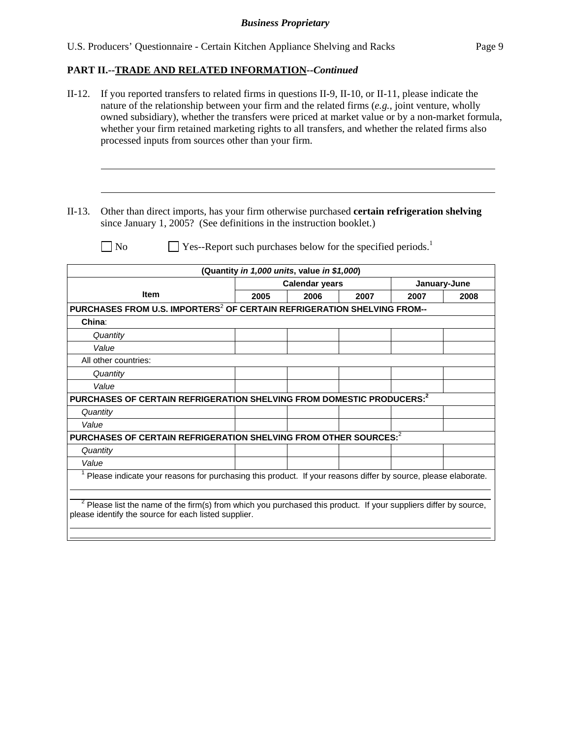| $II-12.$  | If you reported transfers to related firms in questions II-9, II-10, or II-11, please indicate the<br>nature of the relationship between your firm and the related firms $(e.g.,$ joint venture, wholly<br>owned subsidiary), whether the transfers were priced at market value or by a non-market formula,<br>whether your firm retained marketing rights to all transfers, and whether the related firms also<br>processed inputs from sources other than your firm. |      |                                                                          |      |      |              |
|-----------|------------------------------------------------------------------------------------------------------------------------------------------------------------------------------------------------------------------------------------------------------------------------------------------------------------------------------------------------------------------------------------------------------------------------------------------------------------------------|------|--------------------------------------------------------------------------|------|------|--------------|
| $II-13$ . | Other than direct imports, has your firm otherwise purchased certain refrigeration shelving<br>since January 1, 2005? (See definitions in the instruction booklet.)                                                                                                                                                                                                                                                                                                    |      |                                                                          |      |      |              |
|           | $\exists$ No                                                                                                                                                                                                                                                                                                                                                                                                                                                           |      | Yes--Report such purchases below for the specified periods. <sup>1</sup> |      |      |              |
|           |                                                                                                                                                                                                                                                                                                                                                                                                                                                                        |      | (Quantity in 1,000 units, value in \$1,000)                              |      |      |              |
|           |                                                                                                                                                                                                                                                                                                                                                                                                                                                                        |      | <b>Calendar years</b>                                                    |      |      | January-June |
|           | Item                                                                                                                                                                                                                                                                                                                                                                                                                                                                   | 2005 | 2006                                                                     | 2007 | 2007 | 2008         |
| China:    | PURCHASES FROM U.S. IMPORTERS <sup>2</sup> OF CERTAIN REFRIGERATION SHELVING FROM--                                                                                                                                                                                                                                                                                                                                                                                    |      |                                                                          |      |      |              |
|           | Quantity                                                                                                                                                                                                                                                                                                                                                                                                                                                               |      |                                                                          |      |      |              |
|           | Value                                                                                                                                                                                                                                                                                                                                                                                                                                                                  |      |                                                                          |      |      |              |
|           | All other countries:                                                                                                                                                                                                                                                                                                                                                                                                                                                   |      |                                                                          |      |      |              |
|           | Quantity                                                                                                                                                                                                                                                                                                                                                                                                                                                               |      |                                                                          |      |      |              |
|           | Value                                                                                                                                                                                                                                                                                                                                                                                                                                                                  |      |                                                                          |      |      |              |
|           | PURCHASES OF CERTAIN REFRIGERATION SHELVING FROM DOMESTIC PRODUCERS: <sup>2</sup>                                                                                                                                                                                                                                                                                                                                                                                      |      |                                                                          |      |      |              |
|           | Quantity                                                                                                                                                                                                                                                                                                                                                                                                                                                               |      |                                                                          |      |      |              |
| Value     |                                                                                                                                                                                                                                                                                                                                                                                                                                                                        |      |                                                                          |      |      |              |
|           | PURCHASES OF CERTAIN REFRIGERATION SHELVING FROM OTHER SOURCES: <sup>2</sup>                                                                                                                                                                                                                                                                                                                                                                                           |      |                                                                          |      |      |              |
|           | Quantity                                                                                                                                                                                                                                                                                                                                                                                                                                                               |      |                                                                          |      |      |              |
| Value     |                                                                                                                                                                                                                                                                                                                                                                                                                                                                        |      |                                                                          |      |      |              |
|           | Please indicate your reasons for purchasing this product. If your reasons differ by source, please elaborate.                                                                                                                                                                                                                                                                                                                                                          |      |                                                                          |      |      |              |
|           | $2$ Please list the name of the firm(s) from which you purchased this product. If your suppliers differ by source,<br>please identify the source for each listed supplier.                                                                                                                                                                                                                                                                                             |      |                                                                          |      |      |              |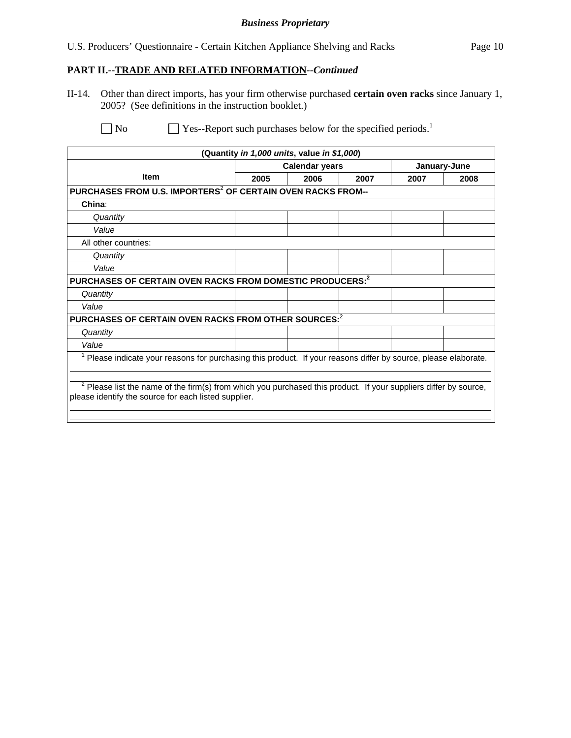#### *Business Proprietary*

## **PART II.--TRADE AND RELATED INFORMATION***--Continued*

II-14. Other than direct imports, has your firm otherwise purchased **certain oven racks** since January 1, 2005? (See definitions in the instruction booklet.)

 $\Box$  No  $\Box$  Yes--Report such purchases below for the specified periods.<sup>1</sup>

|                                                                                                                |      | (Quantity in 1,000 units, value in \$1,000) |      |              |      |
|----------------------------------------------------------------------------------------------------------------|------|---------------------------------------------|------|--------------|------|
|                                                                                                                |      | <b>Calendar years</b>                       |      | January-June |      |
| <b>Item</b>                                                                                                    | 2005 | 2006                                        | 2007 | 2007         | 2008 |
| PURCHASES FROM U.S. IMPORTERS <sup>2</sup> OF CERTAIN OVEN RACKS FROM--                                        |      |                                             |      |              |      |
| China:                                                                                                         |      |                                             |      |              |      |
| Quantity                                                                                                       |      |                                             |      |              |      |
| Value                                                                                                          |      |                                             |      |              |      |
| All other countries:                                                                                           |      |                                             |      |              |      |
| Quantity                                                                                                       |      |                                             |      |              |      |
| Value                                                                                                          |      |                                             |      |              |      |
| PURCHASES OF CERTAIN OVEN RACKS FROM DOMESTIC PRODUCERS: <sup>2</sup>                                          |      |                                             |      |              |      |
| Quantity                                                                                                       |      |                                             |      |              |      |
| Value                                                                                                          |      |                                             |      |              |      |
| PURCHASES OF CERTAIN OVEN RACKS FROM OTHER SOURCES: <sup>2</sup>                                               |      |                                             |      |              |      |
| Quantity                                                                                                       |      |                                             |      |              |      |
| Value                                                                                                          |      |                                             |      |              |      |
| Please indicate your reasons for purchasing this product. If your reasons differ by source, please elaborate.  |      |                                             |      |              |      |
|                                                                                                                |      |                                             |      |              |      |
| Please list the name of the firm(s) from which you purchased this product. If your suppliers differ by source, |      |                                             |      |              |      |
| please identify the source for each listed supplier.                                                           |      |                                             |      |              |      |
|                                                                                                                |      |                                             |      |              |      |
|                                                                                                                |      |                                             |      |              |      |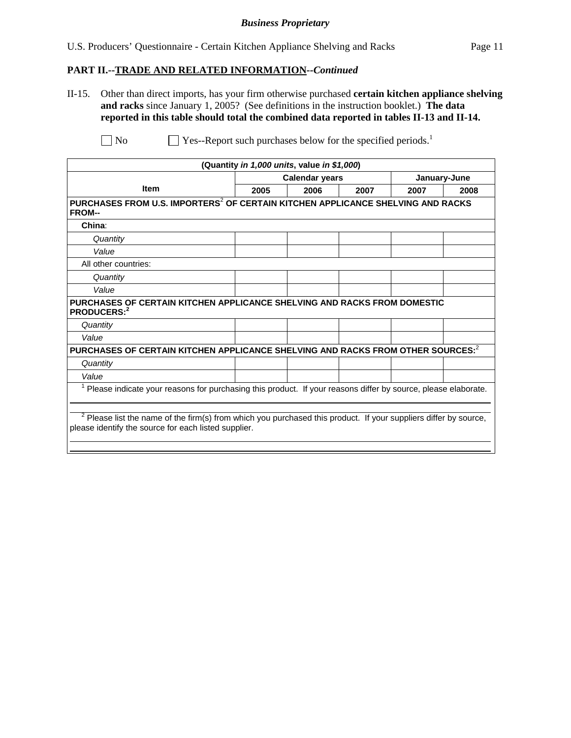#### *Business Proprietary*

#### **PART II.--TRADE AND RELATED INFORMATION***--Continued*

II-15. Other than direct imports, has your firm otherwise purchased **certain kitchen appliance shelving and racks** since January 1, 2005? (See definitions in the instruction booklet.) **The data reported in this table should total the combined data reported in tables II-13 and II-14.**

 $\Box$  No  $\Box$  Yes--Report such purchases below for the specified periods.<sup>1</sup>

|                                                                                                                                                                            | (Quantity in 1,000 units, value in \$1,000) |                       |      |      |              |
|----------------------------------------------------------------------------------------------------------------------------------------------------------------------------|---------------------------------------------|-----------------------|------|------|--------------|
|                                                                                                                                                                            |                                             | <b>Calendar years</b> |      |      | January-June |
| <b>Item</b>                                                                                                                                                                | 2005                                        | 2006                  | 2007 | 2007 | 2008         |
| PURCHASES FROM U.S. IMPORTERS <sup>2</sup> OF CERTAIN KITCHEN APPLICANCE SHELVING AND RACKS<br><b>FROM--</b>                                                               |                                             |                       |      |      |              |
| China:                                                                                                                                                                     |                                             |                       |      |      |              |
| Quantity                                                                                                                                                                   |                                             |                       |      |      |              |
| Value                                                                                                                                                                      |                                             |                       |      |      |              |
| All other countries:                                                                                                                                                       |                                             |                       |      |      |              |
| Quantity                                                                                                                                                                   |                                             |                       |      |      |              |
| Value                                                                                                                                                                      |                                             |                       |      |      |              |
| PURCHASES OF CERTAIN KITCHEN APPLICANCE SHELVING AND RACKS FROM DOMESTIC<br>PRODUCERS:2                                                                                    |                                             |                       |      |      |              |
| Quantity                                                                                                                                                                   |                                             |                       |      |      |              |
| Value                                                                                                                                                                      |                                             |                       |      |      |              |
| PURCHASES OF CERTAIN KITCHEN APPLICANCE SHELVING AND RACKS FROM OTHER SOURCES: <sup>2</sup>                                                                                |                                             |                       |      |      |              |
| Quantity                                                                                                                                                                   |                                             |                       |      |      |              |
| Value                                                                                                                                                                      |                                             |                       |      |      |              |
| Please indicate your reasons for purchasing this product. If your reasons differ by source, please elaborate.                                                              |                                             |                       |      |      |              |
| $2$ Please list the name of the firm(s) from which you purchased this product. If your suppliers differ by source,<br>please identify the source for each listed supplier. |                                             |                       |      |      |              |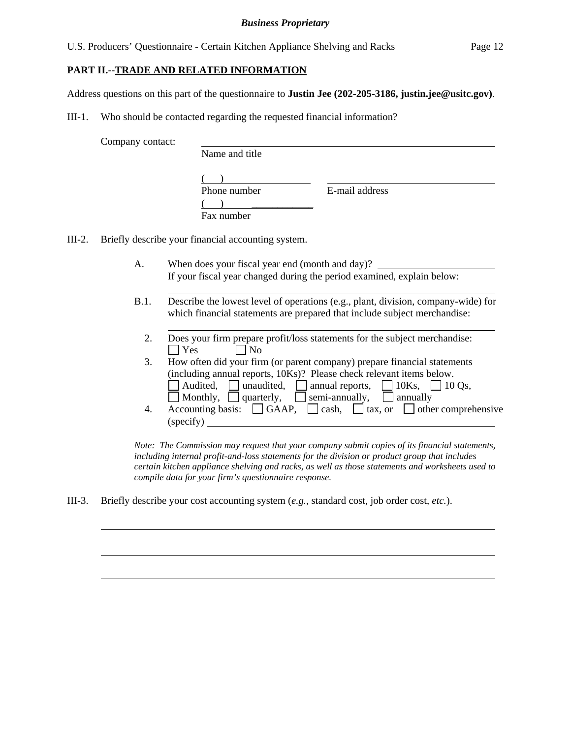U.S. Producers' Questionnaire - Certain Kitchen Appliance Shelving and Racks Page 12

## **PART II.--TRADE AND RELATED INFORMATION**

Address questions on this part of the questionnaire to **Justin Jee (202-205-3186, justin.jee@usitc.gov)**.

III-1. Who should be contacted regarding the requested financial information?

Company contact:

 $\overline{a}$ 

 $\overline{a}$ 

| -- | Name and title             |                |  |
|----|----------------------------|----------------|--|
|    | Phone number<br>Fax number | E-mail address |  |

III-2. Briefly describe your financial accounting system.

- A. When does your fiscal year end (month and day)? If your fiscal year changed during the period examined, explain below:
- B.1. Describe the lowest level of operations (e.g., plant, division, company-wide) for which financial statements are prepared that include subject merchandise:
	- 2. Does your firm prepare profit/loss statements for the subject merchandise:  $\Box$  Yes  $\Box$  No 3. How often did your firm (or parent company) prepare financial statements
	- (including annual reports, 10Ks)? Please check relevant items below.  $\Box$  Audited,  $\Box$  unaudited,  $\Box$  annual reports,  $\Box$  10Ks,  $\Box$  10 Os, Monthly, quarterly, semi-annually, annually 4. Accounting basis:  $\Box$  GAAP,  $\Box$  cash,  $\Box$  tax, or  $\Box$  other comprehensive (specify)

*Note: The Commission may request that your company submit copies of its financial statements, including internal profit-and-loss statements for the division or product group that includes certain kitchen appliance shelving and racks, as well as those statements and worksheets used to compile data for your firm's questionnaire response.* 

III-3. Briefly describe your cost accounting system (*e.g.*, standard cost, job order cost, *etc.*).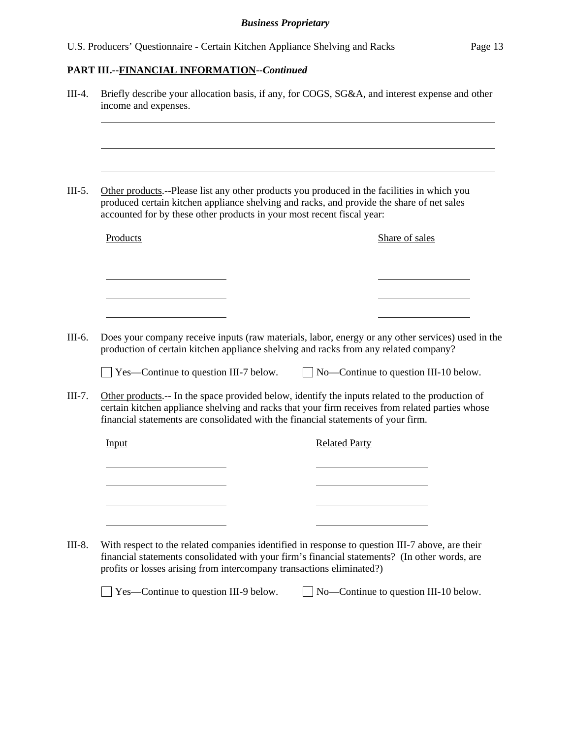|          | accounted for by these other products in your most recent fiscal year:            |                      | Other products.--Please list any other products you produced in the facilities in which you<br>produced certain kitchen appliance shelving and racks, and provide the share of net sales           |
|----------|-----------------------------------------------------------------------------------|----------------------|----------------------------------------------------------------------------------------------------------------------------------------------------------------------------------------------------|
| Products |                                                                                   |                      | Share of sales                                                                                                                                                                                     |
|          |                                                                                   |                      |                                                                                                                                                                                                    |
|          |                                                                                   |                      |                                                                                                                                                                                                    |
|          |                                                                                   |                      | Does your company receive inputs (raw materials, labor, energy or any other services) used in the<br>production of certain kitchen appliance shelving and racks from any related company?          |
|          | $\Box$ Yes—Continue to question III-7 below.                                      |                      | $\Box$ No—Continue to question III-10 below.                                                                                                                                                       |
|          |                                                                                   |                      |                                                                                                                                                                                                    |
|          | financial statements are consolidated with the financial statements of your firm. |                      |                                                                                                                                                                                                    |
| Input    |                                                                                   | <b>Related Party</b> | Other products.-- In the space provided below, identify the inputs related to the production of<br>certain kitchen appliance shelving and racks that your firm receives from related parties whose |
|          |                                                                                   |                      |                                                                                                                                                                                                    |
|          |                                                                                   |                      |                                                                                                                                                                                                    |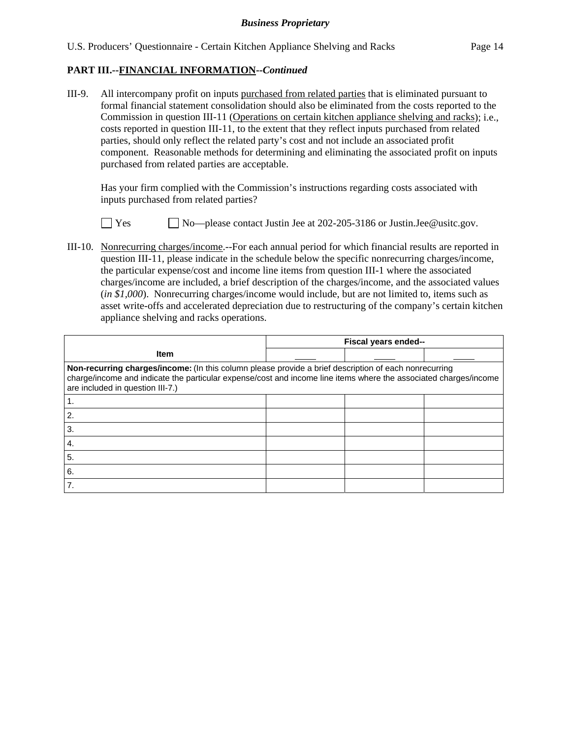III-9. All intercompany profit on inputs purchased from related parties that is eliminated pursuant to formal financial statement consolidation should also be eliminated from the costs reported to the Commission in question III-11 (Operations on certain kitchen appliance shelving and racks); i.e., costs reported in question III-11, to the extent that they reflect inputs purchased from related parties, should only reflect the related party's cost and not include an associated profit component. Reasonable methods for determining and eliminating the associated profit on inputs purchased from related parties are acceptable.

Has your firm complied with the Commission's instructions regarding costs associated with inputs purchased from related parties?



□ Yes ■ No—please contact Justin Jee at 202-205-3186 or Justin.Jee@usitc.gov.

III-10. Nonrecurring charges/income.--For each annual period for which financial results are reported in question III-11, please indicate in the schedule below the specific nonrecurring charges/income, the particular expense/cost and income line items from question III-1 where the associated charges/income are included, a brief description of the charges/income, and the associated values (*in \$1,000*). Nonrecurring charges/income would include, but are not limited to, items such as asset write-offs and accelerated depreciation due to restructuring of the company's certain kitchen appliance shelving and racks operations.

|                                                                                                                                                                                                                                                               | Fiscal years ended-- |  |  |  |
|---------------------------------------------------------------------------------------------------------------------------------------------------------------------------------------------------------------------------------------------------------------|----------------------|--|--|--|
| <b>Item</b>                                                                                                                                                                                                                                                   |                      |  |  |  |
| Non-recurring charges/income: (In this column please provide a brief description of each nonrecurring<br>charge/income and indicate the particular expense/cost and income line items where the associated charges/income<br>are included in question III-7.) |                      |  |  |  |
|                                                                                                                                                                                                                                                               |                      |  |  |  |
| 2.                                                                                                                                                                                                                                                            |                      |  |  |  |
| 3.                                                                                                                                                                                                                                                            |                      |  |  |  |
| 4.                                                                                                                                                                                                                                                            |                      |  |  |  |
| 5.                                                                                                                                                                                                                                                            |                      |  |  |  |
| 6.                                                                                                                                                                                                                                                            |                      |  |  |  |
|                                                                                                                                                                                                                                                               |                      |  |  |  |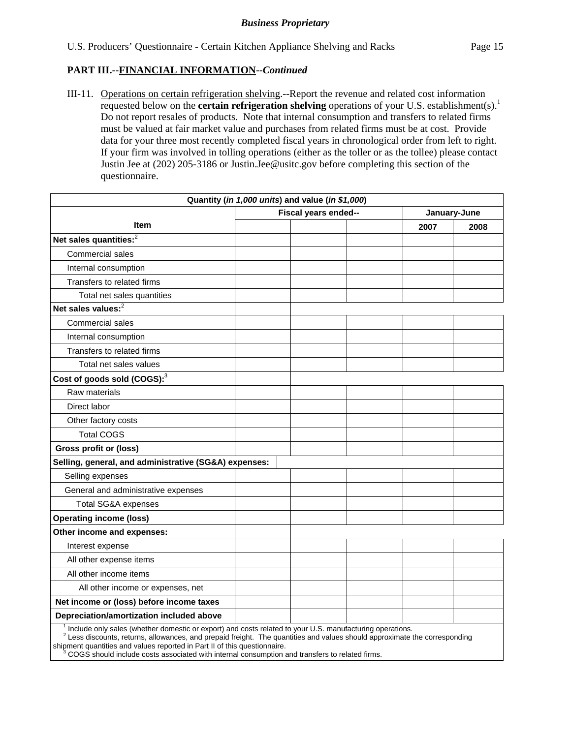III-11. Operations on certain refrigeration shelving.--Report the revenue and related cost information requested below on the **certain refrigeration shelving** operations of your U.S. establishment(s).<sup>1</sup> Do not report resales of products. Note that internal consumption and transfers to related firms must be valued at fair market value and purchases from related firms must be at cost. Provide data for your three most recently completed fiscal years in chronological order from left to right. If your firm was involved in tolling operations (either as the toller or as the tollee) please contact Justin Jee at (202) 205-3186 or Justin.Jee@usitc.gov before completing this section of the questionnaire.

|                                                                                                                                                                                                                                                                                                               |                      | Quantity (in 1,000 units) and value (in \$1,000) |  |      |              |  |
|---------------------------------------------------------------------------------------------------------------------------------------------------------------------------------------------------------------------------------------------------------------------------------------------------------------|----------------------|--------------------------------------------------|--|------|--------------|--|
|                                                                                                                                                                                                                                                                                                               | Fiscal years ended-- |                                                  |  |      | January-June |  |
| <b>Item</b>                                                                                                                                                                                                                                                                                                   |                      |                                                  |  | 2007 | 2008         |  |
| Net sales quantities: $2$                                                                                                                                                                                                                                                                                     |                      |                                                  |  |      |              |  |
| <b>Commercial sales</b>                                                                                                                                                                                                                                                                                       |                      |                                                  |  |      |              |  |
| Internal consumption                                                                                                                                                                                                                                                                                          |                      |                                                  |  |      |              |  |
| Transfers to related firms                                                                                                                                                                                                                                                                                    |                      |                                                  |  |      |              |  |
| Total net sales quantities                                                                                                                                                                                                                                                                                    |                      |                                                  |  |      |              |  |
| Net sales values: <sup>2</sup>                                                                                                                                                                                                                                                                                |                      |                                                  |  |      |              |  |
| <b>Commercial sales</b>                                                                                                                                                                                                                                                                                       |                      |                                                  |  |      |              |  |
| Internal consumption                                                                                                                                                                                                                                                                                          |                      |                                                  |  |      |              |  |
| Transfers to related firms                                                                                                                                                                                                                                                                                    |                      |                                                  |  |      |              |  |
| Total net sales values                                                                                                                                                                                                                                                                                        |                      |                                                  |  |      |              |  |
| Cost of goods sold (COGS): <sup>3</sup>                                                                                                                                                                                                                                                                       |                      |                                                  |  |      |              |  |
| Raw materials                                                                                                                                                                                                                                                                                                 |                      |                                                  |  |      |              |  |
| Direct labor                                                                                                                                                                                                                                                                                                  |                      |                                                  |  |      |              |  |
| Other factory costs                                                                                                                                                                                                                                                                                           |                      |                                                  |  |      |              |  |
| <b>Total COGS</b>                                                                                                                                                                                                                                                                                             |                      |                                                  |  |      |              |  |
| Gross profit or (loss)                                                                                                                                                                                                                                                                                        |                      |                                                  |  |      |              |  |
| Selling, general, and administrative (SG&A) expenses:                                                                                                                                                                                                                                                         |                      |                                                  |  |      |              |  |
| Selling expenses                                                                                                                                                                                                                                                                                              |                      |                                                  |  |      |              |  |
| General and administrative expenses                                                                                                                                                                                                                                                                           |                      |                                                  |  |      |              |  |
| <b>Total SG&amp;A expenses</b>                                                                                                                                                                                                                                                                                |                      |                                                  |  |      |              |  |
| <b>Operating income (loss)</b>                                                                                                                                                                                                                                                                                |                      |                                                  |  |      |              |  |
| Other income and expenses:                                                                                                                                                                                                                                                                                    |                      |                                                  |  |      |              |  |
| Interest expense                                                                                                                                                                                                                                                                                              |                      |                                                  |  |      |              |  |
| All other expense items                                                                                                                                                                                                                                                                                       |                      |                                                  |  |      |              |  |
| All other income items                                                                                                                                                                                                                                                                                        |                      |                                                  |  |      |              |  |
| All other income or expenses, net                                                                                                                                                                                                                                                                             |                      |                                                  |  |      |              |  |
| Net income or (loss) before income taxes                                                                                                                                                                                                                                                                      |                      |                                                  |  |      |              |  |
| Depreciation/amortization included above                                                                                                                                                                                                                                                                      |                      |                                                  |  |      |              |  |
| <sup>1</sup> Include only sales (whether domestic or export) and costs related to your U.S. manufacturing operations.<br>$2$ Less discounts, returns, allowances, and prepaid freight. The quantities and values should approximate the corresponding<br>وتوافيكم الشواه والمتال وينسو ورومو والمراجين الروزو |                      |                                                  |  |      |              |  |

shipment quantities and values reported in Part II of this questionnaire.<br><sup>3</sup> COGS should include costs associated with internal consumption and transfers to related firms.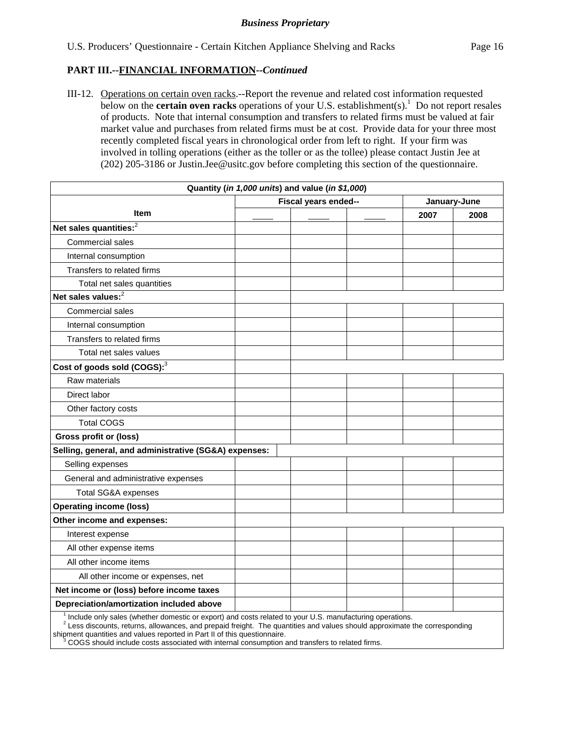III-12. Operations on certain oven racks.--Report the revenue and related cost information requested below on the **certain oven racks** operations of your U.S. establishment(s).<sup>1</sup> Do not report resales of products. Note that internal consumption and transfers to related firms must be valued at fair market value and purchases from related firms must be at cost. Provide data for your three most recently completed fiscal years in chronological order from left to right. If your firm was involved in tolling operations (either as the toller or as the tollee) please contact Justin Jee at (202) 205-3186 or Justin.Jee@usitc.gov before completing this section of the questionnaire.

|                                                                                                                       |                      | Quantity (in 1,000 units) and value (in \$1,000) |  |      |              |
|-----------------------------------------------------------------------------------------------------------------------|----------------------|--------------------------------------------------|--|------|--------------|
|                                                                                                                       | Fiscal years ended-- |                                                  |  |      | January-June |
| <b>Item</b>                                                                                                           |                      |                                                  |  | 2007 | 2008         |
| Net sales quantities: <sup>2</sup>                                                                                    |                      |                                                  |  |      |              |
| Commercial sales                                                                                                      |                      |                                                  |  |      |              |
| Internal consumption                                                                                                  |                      |                                                  |  |      |              |
| Transfers to related firms                                                                                            |                      |                                                  |  |      |              |
| Total net sales quantities                                                                                            |                      |                                                  |  |      |              |
| Net sales values: $2$                                                                                                 |                      |                                                  |  |      |              |
| Commercial sales                                                                                                      |                      |                                                  |  |      |              |
| Internal consumption                                                                                                  |                      |                                                  |  |      |              |
| Transfers to related firms                                                                                            |                      |                                                  |  |      |              |
| Total net sales values                                                                                                |                      |                                                  |  |      |              |
| Cost of goods sold (COGS): <sup>3</sup>                                                                               |                      |                                                  |  |      |              |
| Raw materials                                                                                                         |                      |                                                  |  |      |              |
| Direct labor                                                                                                          |                      |                                                  |  |      |              |
| Other factory costs                                                                                                   |                      |                                                  |  |      |              |
| <b>Total COGS</b>                                                                                                     |                      |                                                  |  |      |              |
| <b>Gross profit or (loss)</b>                                                                                         |                      |                                                  |  |      |              |
| Selling, general, and administrative (SG&A) expenses:                                                                 |                      |                                                  |  |      |              |
| Selling expenses                                                                                                      |                      |                                                  |  |      |              |
| General and administrative expenses                                                                                   |                      |                                                  |  |      |              |
| Total SG&A expenses                                                                                                   |                      |                                                  |  |      |              |
| <b>Operating income (loss)</b>                                                                                        |                      |                                                  |  |      |              |
| Other income and expenses:                                                                                            |                      |                                                  |  |      |              |
| Interest expense                                                                                                      |                      |                                                  |  |      |              |
| All other expense items                                                                                               |                      |                                                  |  |      |              |
| All other income items                                                                                                |                      |                                                  |  |      |              |
| All other income or expenses, net                                                                                     |                      |                                                  |  |      |              |
| Net income or (loss) before income taxes                                                                              |                      |                                                  |  |      |              |
| Depreciation/amortization included above                                                                              |                      |                                                  |  |      |              |
| <sup>1</sup> Include only sales (whether domestic or export) and costs related to your U.S. manufacturing operations. |                      |                                                  |  |      |              |

 $^{-1}$  Include only sales (whether domestic or export) and costs related to your U.S. manufacturing operations.<br><sup>2</sup> Less discounts, returns, allowances, and prepaid freight. The quantities and values should approximate the

shipment quantities and values reported in Part II of this questionnaire.

 <sup>3</sup> COGS should include costs associated with internal consumption and transfers to related firms.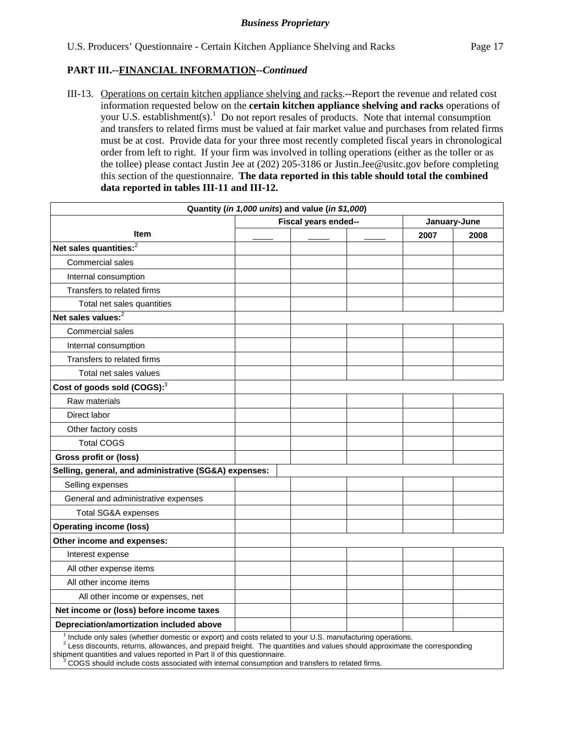III-13. Operations on certain kitchen appliance shelving and racks.--Report the revenue and related cost information requested below on the **certain kitchen appliance shelving and racks** operations of your U.S. establishment(s).<sup>1</sup> Do not report resales of products. Note that internal consumption and transfers to related firms must be valued at fair market value and purchases from related firms must be at cost. Provide data for your three most recently completed fiscal years in chronological order from left to right. If your firm was involved in tolling operations (either as the toller or as the tollee) please contact Justin Jee at (202) 205-3186 or Justin.Jee@usitc.gov before completing this section of the questionnaire. **The data reported in this table should total the combined data reported in tables III-11 and III-12.**

| Quantity (in 1,000 units) and value (in \$1,000)                                                                                                                                                                                         |  |                      |  |      |              |
|------------------------------------------------------------------------------------------------------------------------------------------------------------------------------------------------------------------------------------------|--|----------------------|--|------|--------------|
|                                                                                                                                                                                                                                          |  | Fiscal years ended-- |  |      | January-June |
| <b>Item</b>                                                                                                                                                                                                                              |  |                      |  | 2007 | 2008         |
| Net sales quantities: <sup>2</sup>                                                                                                                                                                                                       |  |                      |  |      |              |
| <b>Commercial sales</b>                                                                                                                                                                                                                  |  |                      |  |      |              |
| Internal consumption                                                                                                                                                                                                                     |  |                      |  |      |              |
| Transfers to related firms                                                                                                                                                                                                               |  |                      |  |      |              |
| Total net sales quantities                                                                                                                                                                                                               |  |                      |  |      |              |
| Net sales values: $^2$                                                                                                                                                                                                                   |  |                      |  |      |              |
| Commercial sales                                                                                                                                                                                                                         |  |                      |  |      |              |
| Internal consumption                                                                                                                                                                                                                     |  |                      |  |      |              |
| Transfers to related firms                                                                                                                                                                                                               |  |                      |  |      |              |
| Total net sales values                                                                                                                                                                                                                   |  |                      |  |      |              |
| Cost of goods sold (COGS): <sup>3</sup>                                                                                                                                                                                                  |  |                      |  |      |              |
| Raw materials                                                                                                                                                                                                                            |  |                      |  |      |              |
| Direct labor                                                                                                                                                                                                                             |  |                      |  |      |              |
| Other factory costs                                                                                                                                                                                                                      |  |                      |  |      |              |
| <b>Total COGS</b>                                                                                                                                                                                                                        |  |                      |  |      |              |
| Gross profit or (loss)                                                                                                                                                                                                                   |  |                      |  |      |              |
| Selling, general, and administrative (SG&A) expenses:                                                                                                                                                                                    |  |                      |  |      |              |
| Selling expenses                                                                                                                                                                                                                         |  |                      |  |      |              |
| General and administrative expenses                                                                                                                                                                                                      |  |                      |  |      |              |
| <b>Total SG&amp;A expenses</b>                                                                                                                                                                                                           |  |                      |  |      |              |
| <b>Operating income (loss)</b>                                                                                                                                                                                                           |  |                      |  |      |              |
| Other income and expenses:                                                                                                                                                                                                               |  |                      |  |      |              |
| Interest expense                                                                                                                                                                                                                         |  |                      |  |      |              |
| All other expense items                                                                                                                                                                                                                  |  |                      |  |      |              |
| All other income items                                                                                                                                                                                                                   |  |                      |  |      |              |
| All other income or expenses, net                                                                                                                                                                                                        |  |                      |  |      |              |
| Net income or (loss) before income taxes                                                                                                                                                                                                 |  |                      |  |      |              |
| Depreciation/amortization included above                                                                                                                                                                                                 |  |                      |  |      |              |
| Include only sales (whether domestic or export) and costs related to your U.S. manufacturing operations.<br>$2$ Less discounts, returns, allowances, and prepaid freight. The quantities and values should approximate the corresponding |  |                      |  |      |              |

shipment quantities and values reported in Part II of this questionnaire.

 <sup>3</sup> COGS should include costs associated with internal consumption and transfers to related firms.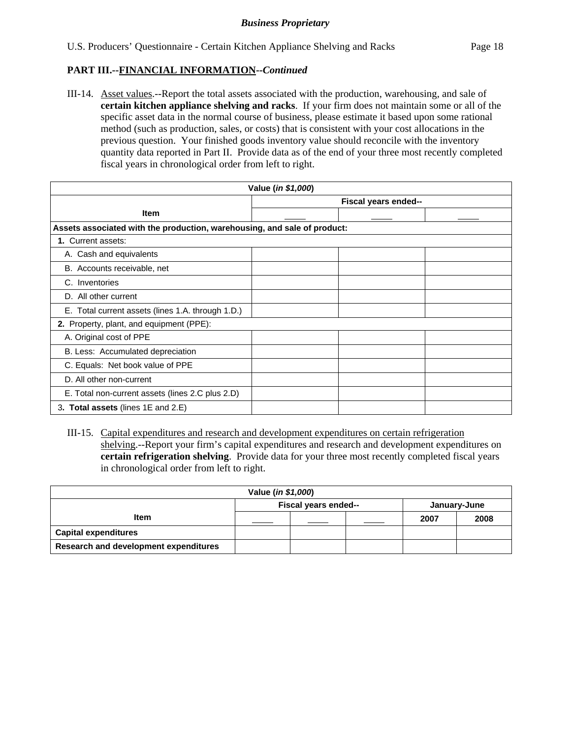III-14. Asset values.--Report the total assets associated with the production, warehousing, and sale of **certain kitchen appliance shelving and racks**. If your firm does not maintain some or all of the specific asset data in the normal course of business, please estimate it based upon some rational method (such as production, sales, or costs) that is consistent with your cost allocations in the previous question. Your finished goods inventory value should reconcile with the inventory quantity data reported in Part II. Provide data as of the end of your three most recently completed fiscal years in chronological order from left to right.

| Value (in \$1,000)                                                       |  |                      |  |  |
|--------------------------------------------------------------------------|--|----------------------|--|--|
|                                                                          |  | Fiscal years ended-- |  |  |
| <b>Item</b>                                                              |  |                      |  |  |
| Assets associated with the production, warehousing, and sale of product: |  |                      |  |  |
| 1. Current assets:                                                       |  |                      |  |  |
| A. Cash and equivalents                                                  |  |                      |  |  |
| B. Accounts receivable, net                                              |  |                      |  |  |
| C. Inventories                                                           |  |                      |  |  |
| D. All other current                                                     |  |                      |  |  |
| E. Total current assets (lines 1.A. through 1.D.)                        |  |                      |  |  |
| 2. Property, plant, and equipment (PPE):                                 |  |                      |  |  |
| A. Original cost of PPE                                                  |  |                      |  |  |
| B. Less: Accumulated depreciation                                        |  |                      |  |  |
| C. Equals: Net book value of PPE                                         |  |                      |  |  |
| D. All other non-current                                                 |  |                      |  |  |
| E. Total non-current assets (lines 2.C plus 2.D)                         |  |                      |  |  |
| 3. Total assets (lines 1E and 2.E)                                       |  |                      |  |  |

III-15. Capital expenditures and research and development expenditures on certain refrigeration shelving.--Report your firm's capital expenditures and research and development expenditures on **certain refrigeration shelving**. Provide data for your three most recently completed fiscal years in chronological order from left to right.

| Value ( <i>in \$1,000</i> )           |                                      |  |  |      |      |
|---------------------------------------|--------------------------------------|--|--|------|------|
|                                       | Fiscal years ended--<br>January-June |  |  |      |      |
| <b>Item</b>                           |                                      |  |  | 2007 | 2008 |
| <b>Capital expenditures</b>           |                                      |  |  |      |      |
| Research and development expenditures |                                      |  |  |      |      |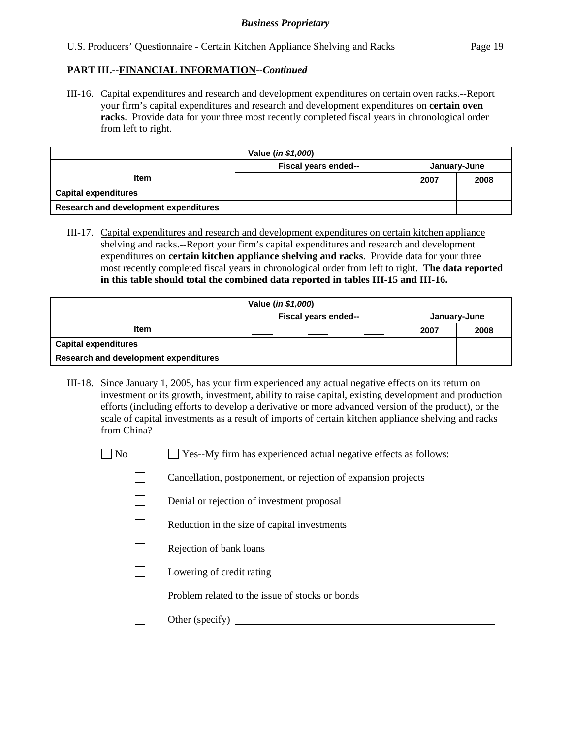III-16. Capital expenditures and research and development expenditures on certain oven racks.--Report your firm's capital expenditures and research and development expenditures on **certain oven racks**. Provide data for your three most recently completed fiscal years in chronological order from left to right.

| Value ( <i>in \$1,000</i> )           |                                      |  |  |      |      |
|---------------------------------------|--------------------------------------|--|--|------|------|
|                                       | Fiscal years ended--<br>January-June |  |  |      |      |
| <b>Item</b>                           |                                      |  |  | 2007 | 2008 |
| <b>Capital expenditures</b>           |                                      |  |  |      |      |
| Research and development expenditures |                                      |  |  |      |      |

III-17. Capital expenditures and research and development expenditures on certain kitchen appliance shelving and racks.--Report your firm's capital expenditures and research and development expenditures on **certain kitchen appliance shelving and racks**. Provide data for your three most recently completed fiscal years in chronological order from left to right. **The data reported in this table should total the combined data reported in tables III-15 and III-16.**

| Value ( <i>in \$1,000</i> )           |                                      |  |  |      |      |
|---------------------------------------|--------------------------------------|--|--|------|------|
|                                       | Fiscal years ended--<br>January-June |  |  |      |      |
| Item                                  |                                      |  |  | 2007 | 2008 |
| <b>Capital expenditures</b>           |                                      |  |  |      |      |
| Research and development expenditures |                                      |  |  |      |      |

- III-18. Since January 1, 2005, has your firm experienced any actual negative effects on its return on investment or its growth, investment, ability to raise capital, existing development and production efforts (including efforts to develop a derivative or more advanced version of the product), or the scale of capital investments as a result of imports of certain kitchen appliance shelving and racks from China?
	- $\Box$  No  $\Box$  Yes--My firm has experienced actual negative effects as follows:
		- Cancellation, postponement, or rejection of expansion projects
		- Denial or rejection of investment proposal
		- $\Box$  Reduction in the size of capital investments
		- $\Box$  Rejection of bank loans
		- $\Box$  Lowering of credit rating
		- $\Box$  Problem related to the issue of stocks or bonds
		- Other (specify)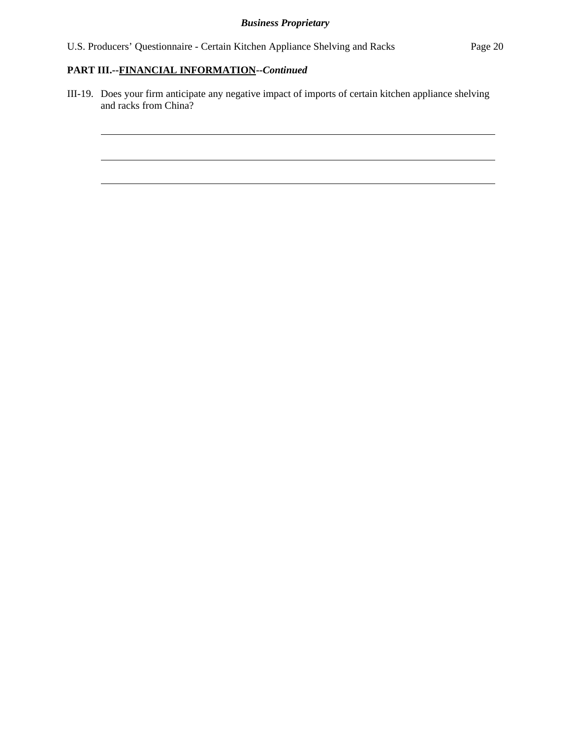$\overline{a}$ 

 $\overline{a}$ 

III-19. Does your firm anticipate any negative impact of imports of certain kitchen appliance shelving and racks from China?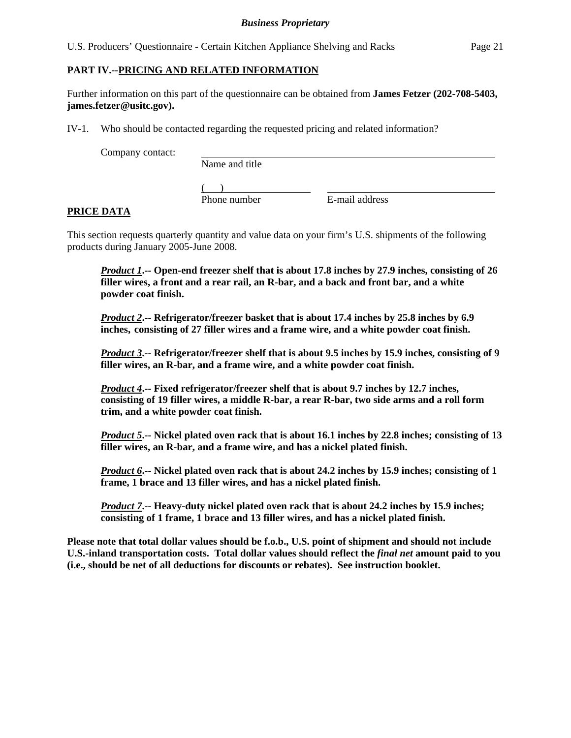U.S. Producers' Questionnaire - Certain Kitchen Appliance Shelving and Racks Page 21

## **PART IV.--PRICING AND RELATED INFORMATION**

Further information on this part of the questionnaire can be obtained from **James Fetzer (202-708-5403, james.fetzer@usitc.gov).** 

IV-1. Who should be contacted regarding the requested pricing and related information?

Company contact:

Name and title

 $($ 

Phone number E-mail address

## **PRICE DATA**

This section requests quarterly quantity and value data on your firm's U.S. shipments of the following products during January 2005-June 2008.

*Product 1***.-- Open-end freezer shelf that is about 17.8 inches by 27.9 inches, consisting of 26 filler wires, a front and a rear rail, an R-bar, and a back and front bar, and a white powder coat finish.** 

*Product 2***.-- Refrigerator/freezer basket that is about 17.4 inches by 25.8 inches by 6.9 inches, consisting of 27 filler wires and a frame wire, and a white powder coat finish.** 

*Product 3***.-- Refrigerator/freezer shelf that is about 9.5 inches by 15.9 inches, consisting of 9 filler wires, an R-bar, and a frame wire, and a white powder coat finish.** 

*Product 4***.-- Fixed refrigerator/freezer shelf that is about 9.7 inches by 12.7 inches, consisting of 19 filler wires, a middle R-bar, a rear R-bar, two side arms and a roll form trim, and a white powder coat finish.** 

*Product 5***.-- Nickel plated oven rack that is about 16.1 inches by 22.8 inches; consisting of 13 filler wires, an R-bar, and a frame wire, and has a nickel plated finish.** 

*Product 6***.-- Nickel plated oven rack that is about 24.2 inches by 15.9 inches; consisting of 1 frame, 1 brace and 13 filler wires, and has a nickel plated finish.** 

*Product 7***.**-- Heavy-duty nickel plated oven rack that is about 24.2 inches by 15.9 inches;  **consisting of 1 frame, 1 brace and 13 filler wires, and has a nickel plated finish.** 

**Please note that total dollar values should be f.o.b., U.S. point of shipment and should not include U.S.-inland transportation costs. Total dollar values should reflect the** *final net* **amount paid to you (i.e., should be net of all deductions for discounts or rebates). See instruction booklet.**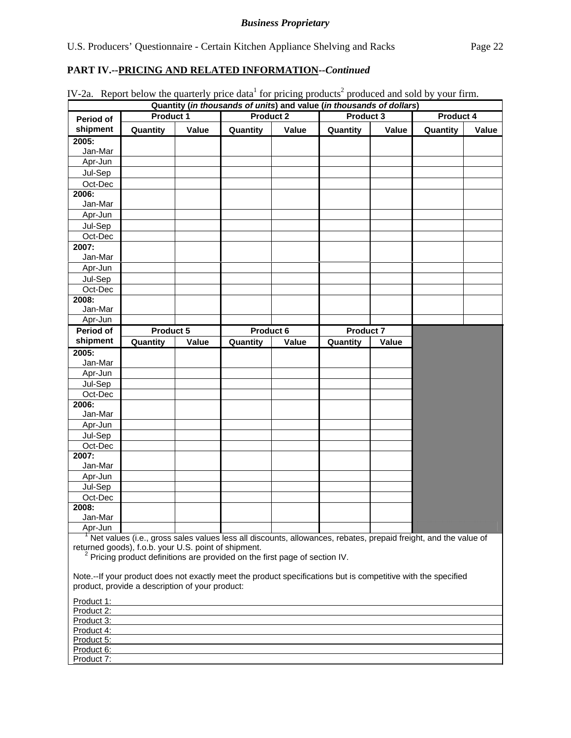| Period of        | Product 1                                                                                                                                                               |       | <b>Product 2</b>                                                                       |       | Quantity (in thousands of units) and value (in thousands of dollars)<br>Product 3 |       | Product 4 |       |
|------------------|-------------------------------------------------------------------------------------------------------------------------------------------------------------------------|-------|----------------------------------------------------------------------------------------|-------|-----------------------------------------------------------------------------------|-------|-----------|-------|
| shipment         | Quantity                                                                                                                                                                | Value | Quantity                                                                               | Value | Quantity                                                                          | Value | Quantity  | Value |
| 2005:            |                                                                                                                                                                         |       |                                                                                        |       |                                                                                   |       |           |       |
| Jan-Mar          |                                                                                                                                                                         |       |                                                                                        |       |                                                                                   |       |           |       |
| Apr-Jun          |                                                                                                                                                                         |       |                                                                                        |       |                                                                                   |       |           |       |
| Jul-Sep          |                                                                                                                                                                         |       |                                                                                        |       |                                                                                   |       |           |       |
| Oct-Dec          |                                                                                                                                                                         |       |                                                                                        |       |                                                                                   |       |           |       |
| 2006:            |                                                                                                                                                                         |       |                                                                                        |       |                                                                                   |       |           |       |
| Jan-Mar          |                                                                                                                                                                         |       |                                                                                        |       |                                                                                   |       |           |       |
| Apr-Jun          |                                                                                                                                                                         |       |                                                                                        |       |                                                                                   |       |           |       |
| Jul-Sep          |                                                                                                                                                                         |       |                                                                                        |       |                                                                                   |       |           |       |
| Oct-Dec          |                                                                                                                                                                         |       |                                                                                        |       |                                                                                   |       |           |       |
| 2007:            |                                                                                                                                                                         |       |                                                                                        |       |                                                                                   |       |           |       |
| Jan-Mar          |                                                                                                                                                                         |       |                                                                                        |       |                                                                                   |       |           |       |
| Apr-Jun          |                                                                                                                                                                         |       |                                                                                        |       |                                                                                   |       |           |       |
| Jul-Sep          |                                                                                                                                                                         |       |                                                                                        |       |                                                                                   |       |           |       |
| Oct-Dec          |                                                                                                                                                                         |       |                                                                                        |       |                                                                                   |       |           |       |
| 2008:            |                                                                                                                                                                         |       |                                                                                        |       |                                                                                   |       |           |       |
| Jan-Mar          |                                                                                                                                                                         |       |                                                                                        |       |                                                                                   |       |           |       |
| Apr-Jun          |                                                                                                                                                                         |       |                                                                                        |       |                                                                                   |       |           |       |
| Period of        | Product 5                                                                                                                                                               |       | Product 6                                                                              |       | <b>Product 7</b>                                                                  |       |           |       |
| shipment         | Quantity                                                                                                                                                                | Value | Quantity                                                                               | Value | Quantity                                                                          | Value |           |       |
| 2005:            |                                                                                                                                                                         |       |                                                                                        |       |                                                                                   |       |           |       |
| Jan-Mar          |                                                                                                                                                                         |       |                                                                                        |       |                                                                                   |       |           |       |
| Apr-Jun          |                                                                                                                                                                         |       |                                                                                        |       |                                                                                   |       |           |       |
| Jul-Sep          |                                                                                                                                                                         |       |                                                                                        |       |                                                                                   |       |           |       |
| Oct-Dec          |                                                                                                                                                                         |       |                                                                                        |       |                                                                                   |       |           |       |
| 2006:            |                                                                                                                                                                         |       |                                                                                        |       |                                                                                   |       |           |       |
| Jan-Mar          |                                                                                                                                                                         |       |                                                                                        |       |                                                                                   |       |           |       |
| Apr-Jun          |                                                                                                                                                                         |       |                                                                                        |       |                                                                                   |       |           |       |
| Jul-Sep          |                                                                                                                                                                         |       |                                                                                        |       |                                                                                   |       |           |       |
| Oct-Dec          |                                                                                                                                                                         |       |                                                                                        |       |                                                                                   |       |           |       |
| 2007:            |                                                                                                                                                                         |       |                                                                                        |       |                                                                                   |       |           |       |
| Jan-Mar          |                                                                                                                                                                         |       |                                                                                        |       |                                                                                   |       |           |       |
| Apr-Jun          |                                                                                                                                                                         |       |                                                                                        |       |                                                                                   |       |           |       |
| Jul-Sep          |                                                                                                                                                                         |       |                                                                                        |       |                                                                                   |       |           |       |
| Oct-Dec          |                                                                                                                                                                         |       |                                                                                        |       |                                                                                   |       |           |       |
| 2008:<br>Jan-Mar |                                                                                                                                                                         |       |                                                                                        |       |                                                                                   |       |           |       |
| Apr-Jun          |                                                                                                                                                                         |       |                                                                                        |       |                                                                                   |       |           |       |
|                  | Net values (i.e., gross sales values less all discounts, allowances, rebates, prepaid freight, and the value of<br>returned goods), f.o.b. your U.S. point of shipment. |       | <sup>2</sup> Pricing product definitions are provided on the first page of section IV. |       |                                                                                   |       |           |       |

Note.--If your product does not exactly meet the product specifications but is competitive with the specified product, provide a description of your product:

| Product 1: |  |  |
|------------|--|--|
| Product 2: |  |  |
| Product 3: |  |  |
| Product 4: |  |  |
| Product 5: |  |  |
| Product 6: |  |  |
| Product 7: |  |  |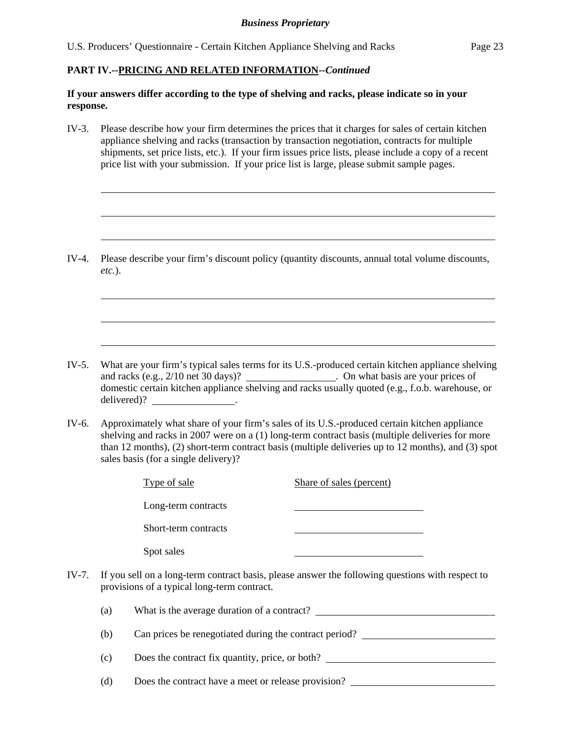## *Business Proprietary*

## **PART IV.--PRICING AND RELATED INFORMATION***--Continued*

l

 $\overline{a}$ 

 $\overline{a}$ 

 $\overline{a}$ 

 $\overline{a}$ 

 $\overline{a}$ 

## **If your answers differ according to the type of shelving and racks, please indicate so in your response.**

IV-3. Please describe how your firm determines the prices that it charges for sales of certain kitchen appliance shelving and racks (transaction by transaction negotiation, contracts for multiple shipments, set price lists, etc.). If your firm issues price lists, please include a copy of a recent price list with your submission. If your price list is large, please submit sample pages.

IV-4. Please describe your firm's discount policy (quantity discounts, annual total volume discounts, *etc.*).

- IV-5. What are your firm's typical sales terms for its U.S.-produced certain kitchen appliance shelving and racks (e.g., 2/10 net 30 days)? \_\_\_\_\_\_\_\_\_\_\_\_\_\_\_\_\_\_\_\_\_. On what basis are your prices of domestic certain kitchen appliance shelving and racks usually quoted (e.g., f.o.b. warehouse, or delivered)?
- IV-6. Approximately what share of your firm's sales of its U.S.-produced certain kitchen appliance shelving and racks in 2007 were on a (1) long-term contract basis (multiple deliveries for more than 12 months), (2) short-term contract basis (multiple deliveries up to 12 months), and (3) spot sales basis (for a single delivery)?

|       |                                                                                                                                                 | Type of sale                                           | Share of sales (percent) |  |  |
|-------|-------------------------------------------------------------------------------------------------------------------------------------------------|--------------------------------------------------------|--------------------------|--|--|
|       |                                                                                                                                                 | Long-term contracts                                    |                          |  |  |
|       |                                                                                                                                                 | Short-term contracts                                   |                          |  |  |
|       |                                                                                                                                                 | Spot sales                                             |                          |  |  |
| IV-7. | If you sell on a long-term contract basis, please answer the following questions with respect to<br>provisions of a typical long-term contract. |                                                        |                          |  |  |
|       | (a)                                                                                                                                             | What is the average duration of a contract?            |                          |  |  |
|       | (b)                                                                                                                                             | Can prices be renegotiated during the contract period? |                          |  |  |
|       | (c)                                                                                                                                             | Does the contract fix quantity, price, or both?        |                          |  |  |
|       | (d)                                                                                                                                             | Does the contract have a meet or release provision?    |                          |  |  |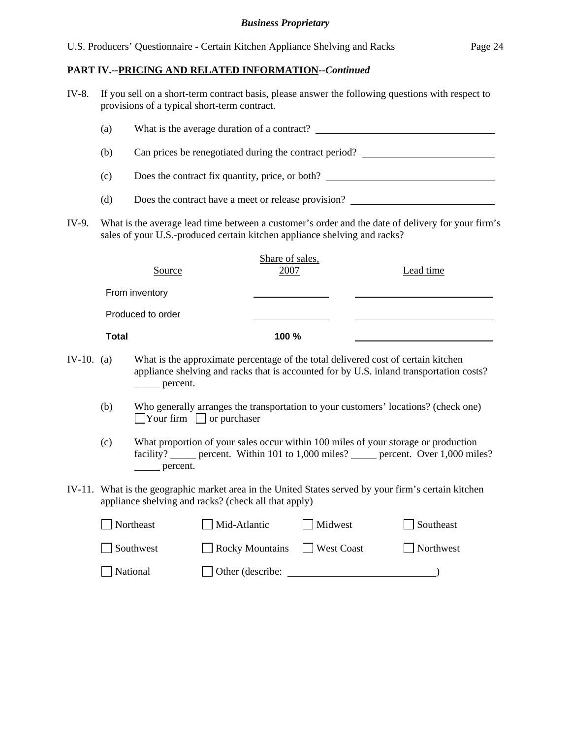## *Business Proprietary*

## **PART IV.--PRICING AND RELATED INFORMATION***--Continued*

| IV-8. If you sell on a short-term contract basis, please answer the following questions with respect to |
|---------------------------------------------------------------------------------------------------------|
| provisions of a typical short-term contract.                                                            |

|            | (a)                                                                                                                                                                            |                                                                                                                                             |                         |                                                                                                                       |  |  |  |
|------------|--------------------------------------------------------------------------------------------------------------------------------------------------------------------------------|---------------------------------------------------------------------------------------------------------------------------------------------|-------------------------|-----------------------------------------------------------------------------------------------------------------------|--|--|--|
|            | (b)                                                                                                                                                                            | Can prices be renegotiated during the contract period? _________________________                                                            |                         |                                                                                                                       |  |  |  |
|            | (c)                                                                                                                                                                            | Does the contract fix quantity, price, or both?                                                                                             |                         |                                                                                                                       |  |  |  |
|            | (d)                                                                                                                                                                            |                                                                                                                                             |                         | Does the contract have a meet or release provision?                                                                   |  |  |  |
| IV-9.      | What is the average lead time between a customer's order and the date of delivery for your firm's<br>sales of your U.S.-produced certain kitchen appliance shelving and racks? |                                                                                                                                             |                         |                                                                                                                       |  |  |  |
|            |                                                                                                                                                                                | Source                                                                                                                                      | Share of sales,<br>2007 | Lead time                                                                                                             |  |  |  |
|            |                                                                                                                                                                                | From inventory                                                                                                                              |                         |                                                                                                                       |  |  |  |
|            |                                                                                                                                                                                | Produced to order                                                                                                                           |                         | <u> The Communication of the Communication of the Communication of the Communication of the Communication of</u>      |  |  |  |
|            | <b>Total</b>                                                                                                                                                                   |                                                                                                                                             | 100 %                   | <u> 1989 - Johann Stoff, deutscher Stoff, der Stoff, der Stoff, der Stoff, der Stoff, der Stoff, der Stoff, der S</u> |  |  |  |
| IV-10. (a) |                                                                                                                                                                                | What is the approximate percentage of the total delivered cost of certain kitchen<br>percent.                                               |                         | appliance shelving and racks that is accounted for by U.S. inland transportation costs?                               |  |  |  |
|            | (b)                                                                                                                                                                            | Who generally arranges the transportation to your customers' locations? (check one)<br>$\blacksquare$ Your firm $\blacksquare$ or purchaser |                         |                                                                                                                       |  |  |  |
|            | (c)                                                                                                                                                                            |                                                                                                                                             |                         | What proportion of your sales occur within 100 miles of your storage or production                                    |  |  |  |

- facility? <u>percent</u>. Within 101 to 1,000 miles? percent. Over 1,000 miles? percent.
- IV-11. What is the geographic market area in the United States served by your firm's certain kitchen appliance shelving and racks? (check all that apply)

| Northeast | Mid-Atlantic               | Midwest | Southeast |
|-----------|----------------------------|---------|-----------|
| Southwest | Rocky Mountains West Coast |         | Northwest |
| National  | $\Box$ Other (describe:    |         |           |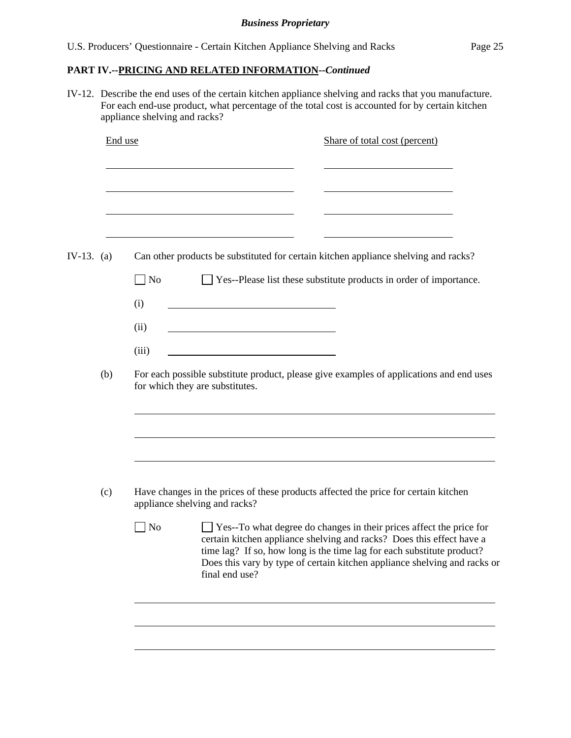|              | End use | Share of total cost (percent)                                                                                              |
|--------------|---------|----------------------------------------------------------------------------------------------------------------------------|
|              |         |                                                                                                                            |
| IV-13. $(a)$ |         | Can other products be substituted for certain kitchen appliance shelving and racks?                                        |
|              |         | N <sub>o</sub><br>□ Yes--Please list these substitute products in order of importance.                                     |
|              |         | (i)                                                                                                                        |
|              |         | (ii)<br><u> 1980 - Johann Barbara, martxa alemaniar a</u>                                                                  |
|              |         | (iii)                                                                                                                      |
|              | (b)     | For each possible substitute product, please give examples of applications and end uses<br>for which they are substitutes. |
|              |         |                                                                                                                            |
|              |         |                                                                                                                            |
|              | (c)     | Have changes in the prices of these products affected the price for certain kitchen<br>appliance shelving and racks?       |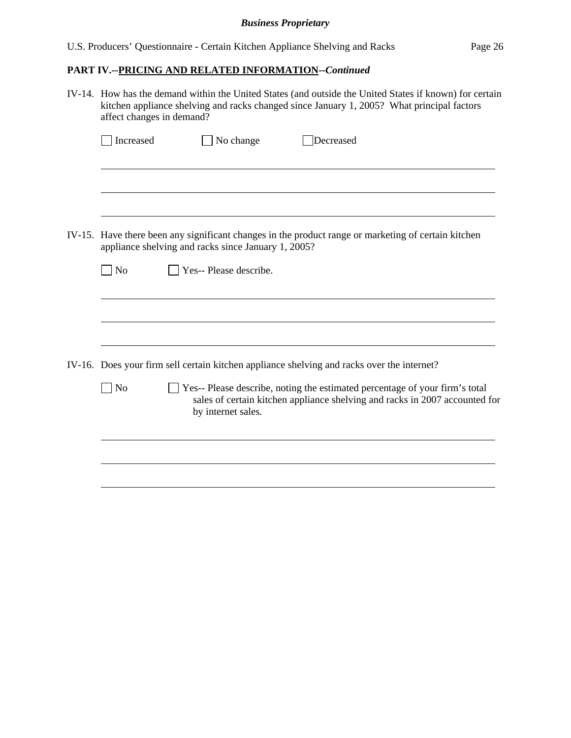## *Business Proprietary*

# **PART IV.--PRICING AND RELATED INFORMATION***--Continued*

| IV-14. How has the demand within the United States (and outside the United States if known) for certain<br>kitchen appliance shelving and racks changed since January 1, 2005? What principal factors<br>affect changes in demand? |                                                                                                     |  |  |  |  |  |
|------------------------------------------------------------------------------------------------------------------------------------------------------------------------------------------------------------------------------------|-----------------------------------------------------------------------------------------------------|--|--|--|--|--|
| Increased<br>No change                                                                                                                                                                                                             | Decreased                                                                                           |  |  |  |  |  |
|                                                                                                                                                                                                                                    |                                                                                                     |  |  |  |  |  |
| appliance shelving and racks since January 1, 2005?                                                                                                                                                                                | IV-15. Have there been any significant changes in the product range or marketing of certain kitchen |  |  |  |  |  |
| Yes-- Please describe.<br>$\overline{\phantom{1}}$ No                                                                                                                                                                              |                                                                                                     |  |  |  |  |  |
|                                                                                                                                                                                                                                    |                                                                                                     |  |  |  |  |  |
| IV-16. Does your firm sell certain kitchen appliance shelving and racks over the internet?                                                                                                                                         |                                                                                                     |  |  |  |  |  |
| $\log$<br>Yes-- Please describe, noting the estimated percentage of your firm's total<br>sales of certain kitchen appliance shelving and racks in 2007 accounted for<br>by internet sales.                                         |                                                                                                     |  |  |  |  |  |
|                                                                                                                                                                                                                                    |                                                                                                     |  |  |  |  |  |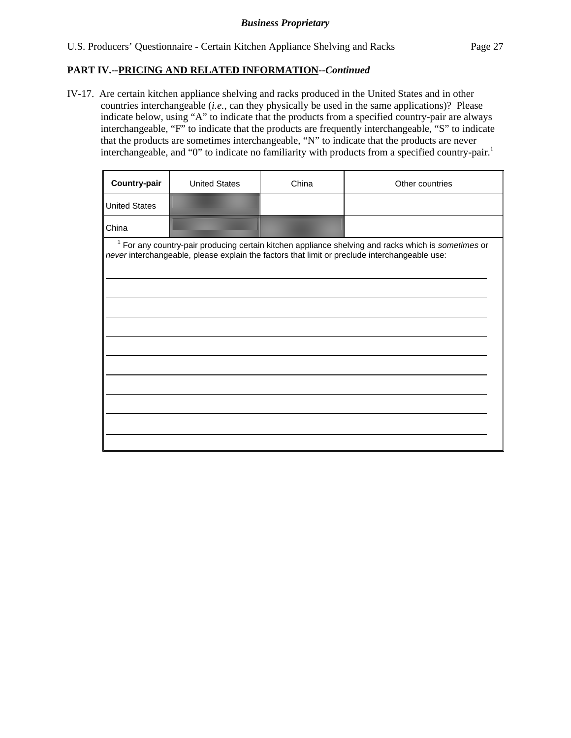IV-17. Are certain kitchen appliance shelving and racks produced in the United States and in other countries interchangeable (*i.e.*, can they physically be used in the same applications)? Please indicate below, using "A" to indicate that the products from a specified country-pair are always interchangeable, "F" to indicate that the products are frequently interchangeable, "S" to indicate that the products are sometimes interchangeable, "N" to indicate that the products are never interchangeable, and "0" to indicate no familiarity with products from a specified country-pair.<sup>1</sup>

| <b>Country-pair</b>  | <b>United States</b> | China | Other countries                                                                                                                                                                                        |
|----------------------|----------------------|-------|--------------------------------------------------------------------------------------------------------------------------------------------------------------------------------------------------------|
| <b>United States</b> |                      |       |                                                                                                                                                                                                        |
| China                |                      |       |                                                                                                                                                                                                        |
|                      |                      |       | $1$ For any country-pair producing certain kitchen appliance shelving and racks which is sometimes or<br>never interchangeable, please explain the factors that limit or preclude interchangeable use: |
|                      |                      |       |                                                                                                                                                                                                        |
|                      |                      |       |                                                                                                                                                                                                        |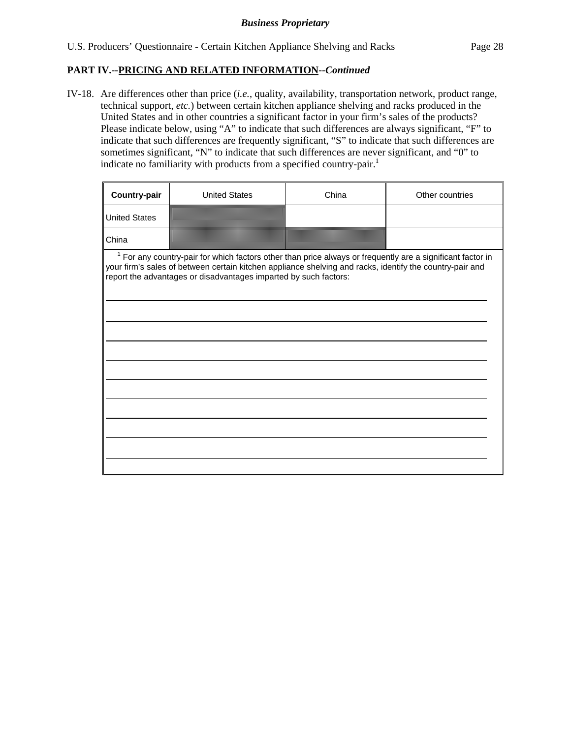IV-18. Are differences other than price (*i.e.*, quality, availability, transportation network, product range, technical support, *etc.*) between certain kitchen appliance shelving and racks produced in the United States and in other countries a significant factor in your firm's sales of the products? Please indicate below, using "A" to indicate that such differences are always significant, "F" to indicate that such differences are frequently significant, "S" to indicate that such differences are sometimes significant, "N" to indicate that such differences are never significant, and "0" to indicate no familiarity with products from a specified country-pair.<sup>1</sup>

| Country-pair         | <b>United States</b>                                                                                                                                                                                                                                                                         | China | Other countries |
|----------------------|----------------------------------------------------------------------------------------------------------------------------------------------------------------------------------------------------------------------------------------------------------------------------------------------|-------|-----------------|
| <b>United States</b> |                                                                                                                                                                                                                                                                                              |       |                 |
| China                |                                                                                                                                                                                                                                                                                              |       |                 |
|                      | $1$ For any country-pair for which factors other than price always or frequently are a significant factor in<br>your firm's sales of between certain kitchen appliance shelving and racks, identify the country-pair and<br>report the advantages or disadvantages imparted by such factors: |       |                 |
|                      |                                                                                                                                                                                                                                                                                              |       |                 |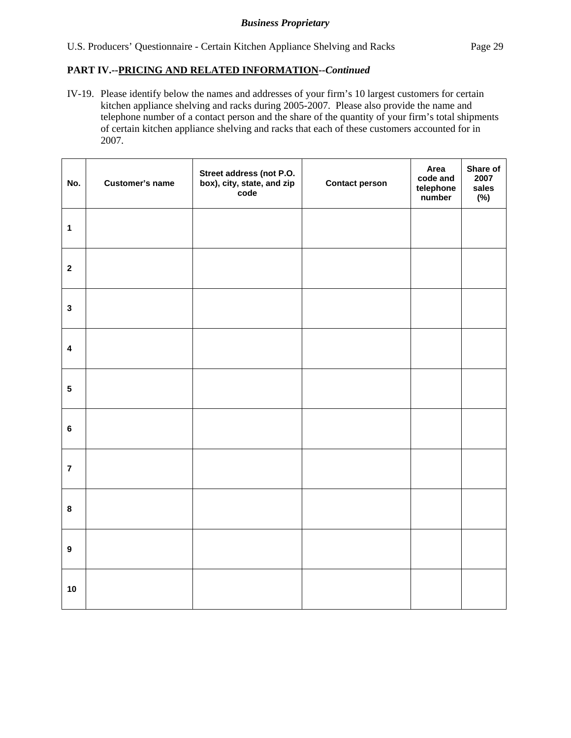IV-19. Please identify below the names and addresses of your firm's 10 largest customers for certain kitchen appliance shelving and racks during 2005-2007. Please also provide the name and telephone number of a contact person and the share of the quantity of your firm's total shipments of certain kitchen appliance shelving and racks that each of these customers accounted for in 2007.

| No.                     | <b>Customer's name</b> | Street address (not P.O.<br>box), city, state, and zip<br>code | <b>Contact person</b> | Area<br>code and<br>telephone<br>number | Share of<br>2007<br>sales<br>$(\%)$ |
|-------------------------|------------------------|----------------------------------------------------------------|-----------------------|-----------------------------------------|-------------------------------------|
| $\mathbf{1}$            |                        |                                                                |                       |                                         |                                     |
| $\mathbf{2}$            |                        |                                                                |                       |                                         |                                     |
| $\mathbf{3}$            |                        |                                                                |                       |                                         |                                     |
| $\overline{\mathbf{4}}$ |                        |                                                                |                       |                                         |                                     |
| ${\bf 5}$               |                        |                                                                |                       |                                         |                                     |
| $\bf 6$                 |                        |                                                                |                       |                                         |                                     |
| $\overline{7}$          |                        |                                                                |                       |                                         |                                     |
| $\bf8$                  |                        |                                                                |                       |                                         |                                     |
| $\boldsymbol{9}$        |                        |                                                                |                       |                                         |                                     |
| 10                      |                        |                                                                |                       |                                         |                                     |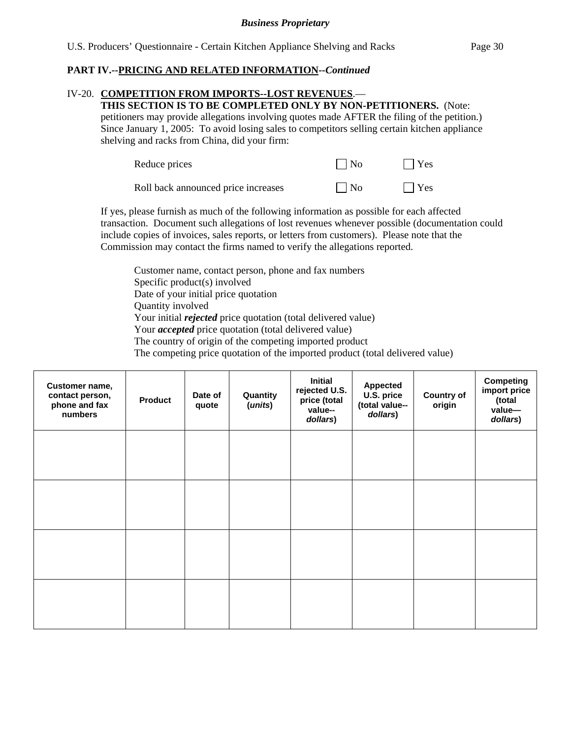## IV-20. **COMPETITION FROM IMPORTS--LOST REVENUES**.—

**THIS SECTION IS TO BE COMPLETED ONLY BY NON-PETITIONERS.** (Note: petitioners may provide allegations involving quotes made AFTER the filing of the petition.) Since January 1, 2005: To avoid losing sales to competitors selling certain kitchen appliance shelving and racks from China, did your firm:

| Reduce prices                       | $\Box$ No    | $\Box$ Yes |
|-------------------------------------|--------------|------------|
| Roll back announced price increases | $\vert$   No | $\Box$ Yes |

If yes, please furnish as much of the following information as possible for each affected transaction. Document such allegations of lost revenues whenever possible (documentation could include copies of invoices, sales reports, or letters from customers). Please note that the Commission may contact the firms named to verify the allegations reported.

Customer name, contact person, phone and fax numbers Specific product(s) involved Date of your initial price quotation Quantity involved Your initial *rejected* price quotation (total delivered value) Your *accepted* price quotation (total delivered value) The country of origin of the competing imported product The competing price quotation of the imported product (total delivered value)

| Customer name,<br>contact person,<br>phone and fax<br>numbers | <b>Product</b> | Date of<br>quote | Quantity<br>(units) | <b>Initial</b><br>rejected U.S.<br>price (total<br>value--<br>dollars) | <b>Appected</b><br>U.S. price<br>(total value--<br>dollars) | <b>Country of</b><br>origin | <b>Competing</b><br>import price<br>(total<br>value-<br>dollars) |
|---------------------------------------------------------------|----------------|------------------|---------------------|------------------------------------------------------------------------|-------------------------------------------------------------|-----------------------------|------------------------------------------------------------------|
|                                                               |                |                  |                     |                                                                        |                                                             |                             |                                                                  |
|                                                               |                |                  |                     |                                                                        |                                                             |                             |                                                                  |
|                                                               |                |                  |                     |                                                                        |                                                             |                             |                                                                  |
|                                                               |                |                  |                     |                                                                        |                                                             |                             |                                                                  |